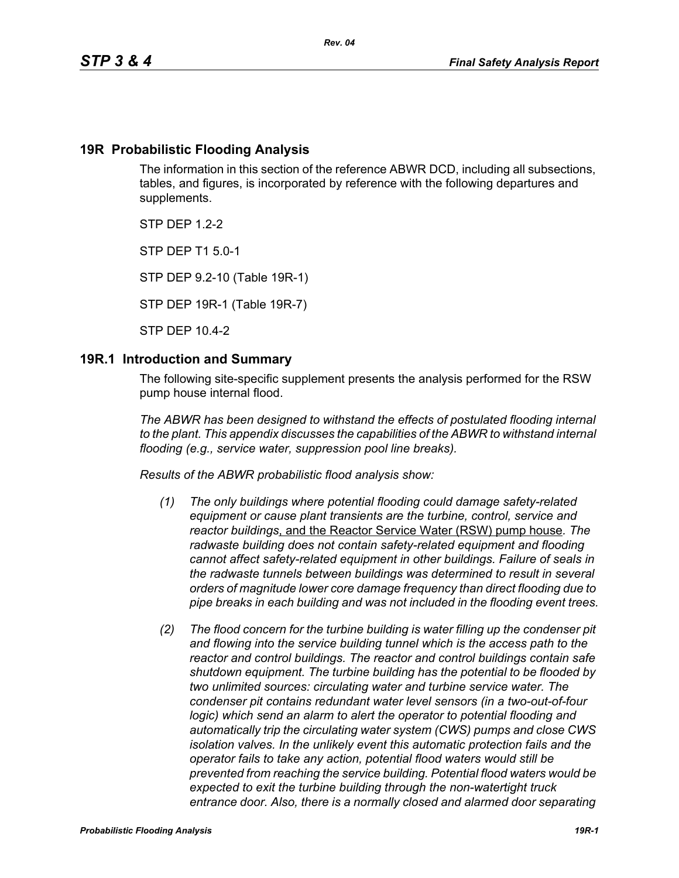## **19R Probabilistic Flooding Analysis**

The information in this section of the reference ABWR DCD, including all subsections, tables, and figures, is incorporated by reference with the following departures and supplements.

STP DEP 1.2-2

STP DEP T1 5.0-1

STP DEP 9.2-10 (Table 19R-1)

STP DEP 19R-1 (Table 19R-7)

STP DEP 10.4-2

### **19R.1 Introduction and Summary**

The following site-specific supplement presents the analysis performed for the RSW pump house internal flood.

*The ABWR has been designed to withstand the effects of postulated flooding internal to the plant. This appendix discusses the capabilities of the ABWR to withstand internal flooding (e.g., service water, suppression pool line breaks).*

*Results of the ABWR probabilistic flood analysis show:*

- *(1) The only buildings where potential flooding could damage safety-related equipment or cause plant transients are the turbine, control, service and reactor buildings*, and the Reactor Service Water (RSW) pump house*. The radwaste building does not contain safety-related equipment and flooding cannot affect safety-related equipment in other buildings. Failure of seals in the radwaste tunnels between buildings was determined to result in several orders of magnitude lower core damage frequency than direct flooding due to pipe breaks in each building and was not included in the flooding event trees.*
- *(2) The flood concern for the turbine building is water filling up the condenser pit and flowing into the service building tunnel which is the access path to the reactor and control buildings. The reactor and control buildings contain safe shutdown equipment. The turbine building has the potential to be flooded by two unlimited sources: circulating water and turbine service water. The condenser pit contains redundant water level sensors (in a two-out-of-four logic)* which send an alarm to alert the operator to potential flooding and *automatically trip the circulating water system (CWS) pumps and close CWS isolation valves. In the unlikely event this automatic protection fails and the operator fails to take any action, potential flood waters would still be prevented from reaching the service building. Potential flood waters would be expected to exit the turbine building through the non-watertight truck entrance door. Also, there is a normally closed and alarmed door separating*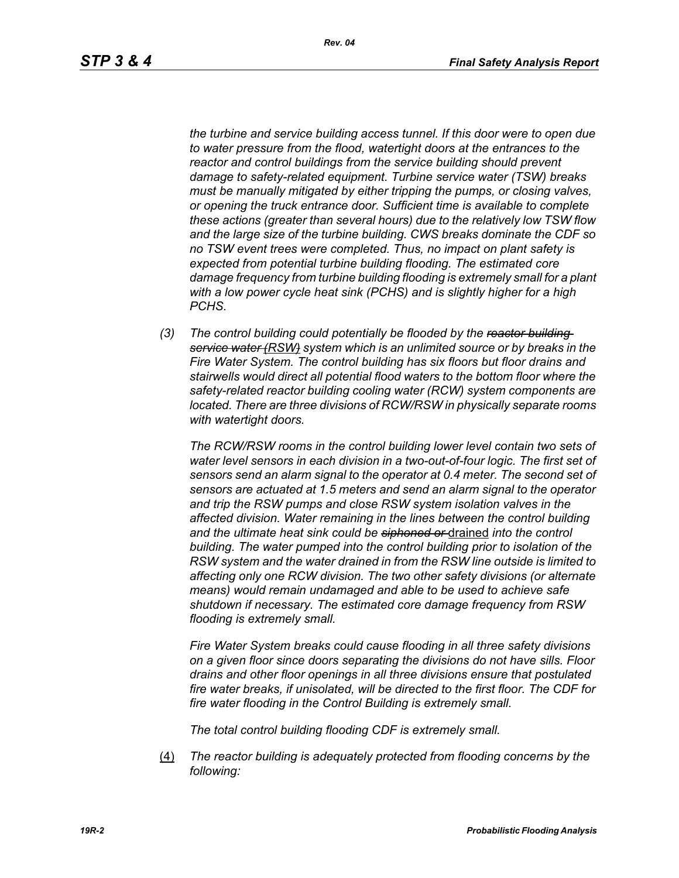*the turbine and service building access tunnel. If this door were to open due to water pressure from the flood, watertight doors at the entrances to the reactor and control buildings from the service building should prevent damage to safety-related equipment. Turbine service water (TSW) breaks must be manually mitigated by either tripping the pumps, or closing valves, or opening the truck entrance door. Sufficient time is available to complete these actions (greater than several hours) due to the relatively low TSW flow and the large size of the turbine building. CWS breaks dominate the CDF so no TSW event trees were completed. Thus, no impact on plant safety is expected from potential turbine building flooding. The estimated core damage frequency from turbine building flooding is extremely small for a plant with a low power cycle heat sink (PCHS) and is slightly higher for a high PCHS.*

*(3) The control building could potentially be flooded by the reactor building service water (RSW) system which is an unlimited source or by breaks in the Fire Water System. The control building has six floors but floor drains and stairwells would direct all potential flood waters to the bottom floor where the safety-related reactor building cooling water (RCW) system components are located. There are three divisions of RCW/RSW in physically separate rooms with watertight doors.*

*The RCW/RSW rooms in the control building lower level contain two sets of water level sensors in each division in a two-out-of-four logic. The first set of sensors send an alarm signal to the operator at 0.4 meter. The second set of sensors are actuated at 1.5 meters and send an alarm signal to the operator and trip the RSW pumps and close RSW system isolation valves in the affected division. Water remaining in the lines between the control building and the ultimate heat sink could be siphoned or* drained *into the control building. The water pumped into the control building prior to isolation of the RSW system and the water drained in from the RSW line outside is limited to affecting only one RCW division. The two other safety divisions (or alternate means) would remain undamaged and able to be used to achieve safe shutdown if necessary. The estimated core damage frequency from RSW flooding is extremely small.*

*Fire Water System breaks could cause flooding in all three safety divisions on a given floor since doors separating the divisions do not have sills. Floor drains and other floor openings in all three divisions ensure that postulated fire water breaks, if unisolated, will be directed to the first floor. The CDF for fire water flooding in the Control Building is extremely small.*

*The total control building flooding CDF is extremely small.*

(4) *The reactor building is adequately protected from flooding concerns by the following:*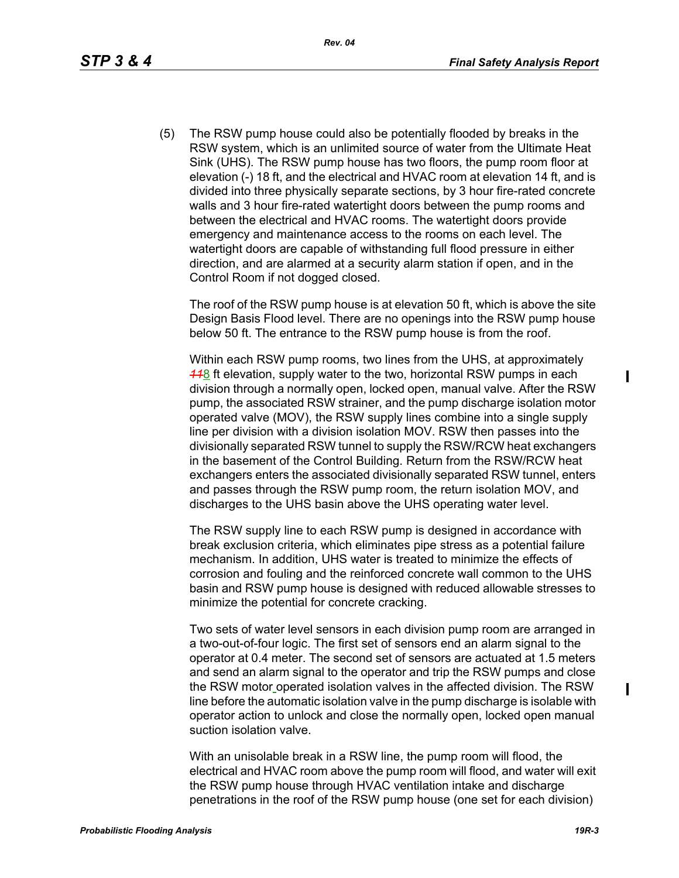(5) The RSW pump house could also be potentially flooded by breaks in the RSW system, which is an unlimited source of water from the Ultimate Heat Sink (UHS). The RSW pump house has two floors, the pump room floor at elevation (-) 18 ft, and the electrical and HVAC room at elevation 14 ft, and is divided into three physically separate sections, by 3 hour fire-rated concrete walls and 3 hour fire-rated watertight doors between the pump rooms and between the electrical and HVAC rooms. The watertight doors provide emergency and maintenance access to the rooms on each level. The watertight doors are capable of withstanding full flood pressure in either direction, and are alarmed at a security alarm station if open, and in the Control Room if not dogged closed.

The roof of the RSW pump house is at elevation 50 ft, which is above the site Design Basis Flood level. There are no openings into the RSW pump house below 50 ft. The entrance to the RSW pump house is from the roof.

Within each RSW pump rooms, two lines from the UHS, at approximately *11*8 ft elevation, supply water to the two, horizontal RSW pumps in each division through a normally open, locked open, manual valve. After the RSW pump, the associated RSW strainer, and the pump discharge isolation motor operated valve (MOV), the RSW supply lines combine into a single supply line per division with a division isolation MOV. RSW then passes into the divisionally separated RSW tunnel to supply the RSW/RCW heat exchangers in the basement of the Control Building. Return from the RSW/RCW heat exchangers enters the associated divisionally separated RSW tunnel, enters and passes through the RSW pump room, the return isolation MOV, and discharges to the UHS basin above the UHS operating water level.

The RSW supply line to each RSW pump is designed in accordance with break exclusion criteria, which eliminates pipe stress as a potential failure mechanism. In addition, UHS water is treated to minimize the effects of corrosion and fouling and the reinforced concrete wall common to the UHS basin and RSW pump house is designed with reduced allowable stresses to minimize the potential for concrete cracking.

Two sets of water level sensors in each division pump room are arranged in a two-out-of-four logic. The first set of sensors end an alarm signal to the operator at 0.4 meter. The second set of sensors are actuated at 1.5 meters and send an alarm signal to the operator and trip the RSW pumps and close the RSW motor operated isolation valves in the affected division. The RSW line before the automatic isolation valve in the pump discharge is isolable with operator action to unlock and close the normally open, locked open manual suction isolation valve.

With an unisolable break in a RSW line, the pump room will flood, the electrical and HVAC room above the pump room will flood, and water will exit the RSW pump house through HVAC ventilation intake and discharge penetrations in the roof of the RSW pump house (one set for each division)

ı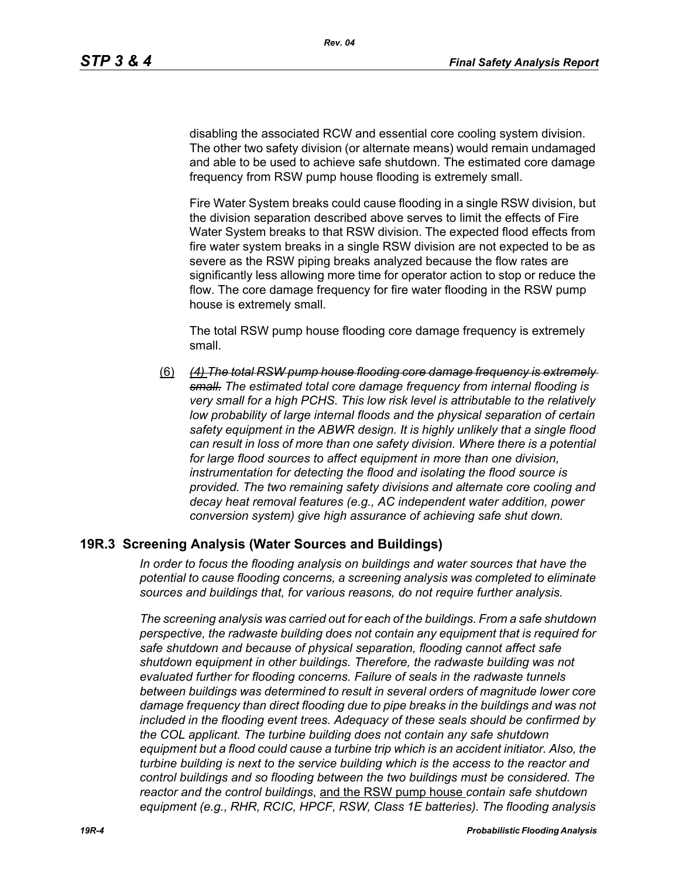disabling the associated RCW and essential core cooling system division. The other two safety division (or alternate means) would remain undamaged and able to be used to achieve safe shutdown. The estimated core damage frequency from RSW pump house flooding is extremely small.

Fire Water System breaks could cause flooding in a single RSW division, but the division separation described above serves to limit the effects of Fire Water System breaks to that RSW division. The expected flood effects from fire water system breaks in a single RSW division are not expected to be as severe as the RSW piping breaks analyzed because the flow rates are significantly less allowing more time for operator action to stop or reduce the flow. The core damage frequency for fire water flooding in the RSW pump house is extremely small.

The total RSW pump house flooding core damage frequency is extremely small.

(6) *(4) The total RSW pump house flooding core damage frequency is extremely small. The estimated total core damage frequency from internal flooding is very small for a high PCHS. This low risk level is attributable to the relatively*  low probability of large internal floods and the physical separation of certain *safety equipment in the ABWR design. It is highly unlikely that a single flood can result in loss of more than one safety division. Where there is a potential for large flood sources to affect equipment in more than one division, instrumentation for detecting the flood and isolating the flood source is provided. The two remaining safety divisions and alternate core cooling and decay heat removal features (e.g., AC independent water addition, power conversion system) give high assurance of achieving safe shut down.*

### **19R.3 Screening Analysis (Water Sources and Buildings)**

*In order to focus the flooding analysis on buildings and water sources that have the potential to cause flooding concerns, a screening analysis was completed to eliminate sources and buildings that, for various reasons, do not require further analysis.*

*The screening analysis was carried out for each of the buildings. From a safe shutdown perspective, the radwaste building does not contain any equipment that is required for safe shutdown and because of physical separation, flooding cannot affect safe shutdown equipment in other buildings. Therefore, the radwaste building was not evaluated further for flooding concerns. Failure of seals in the radwaste tunnels between buildings was determined to result in several orders of magnitude lower core damage frequency than direct flooding due to pipe breaks in the buildings and was not included in the flooding event trees. Adequacy of these seals should be confirmed by the COL applicant. The turbine building does not contain any safe shutdown equipment but a flood could cause a turbine trip which is an accident initiator. Also, the turbine building is next to the service building which is the access to the reactor and control buildings and so flooding between the two buildings must be considered. The reactor and the control buildings*, and the RSW pump house *contain safe shutdown equipment (e.g., RHR, RCIC, HPCF, RSW, Class 1E batteries). The flooding analysis*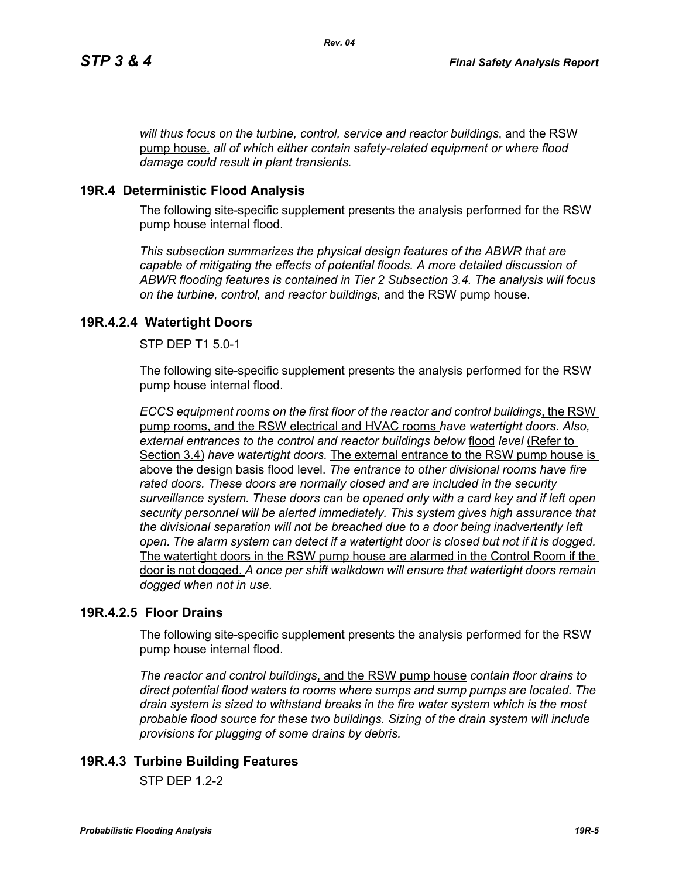*will thus focus on the turbine, control, service and reactor buildings*, and the RSW pump house*, all of which either contain safety-related equipment or where flood damage could result in plant transients.*

### **19R.4 Deterministic Flood Analysis**

The following site-specific supplement presents the analysis performed for the RSW pump house internal flood.

*This subsection summarizes the physical design features of the ABWR that are capable of mitigating the effects of potential floods. A more detailed discussion of ABWR flooding features is contained in Tier 2 Subsection 3.4. The analysis will focus on the turbine, control, and reactor buildings,* and the RSW pump house.

### **19R.4.2.4 Watertight Doors**

STP DEP T1 5.0-1

The following site-specific supplement presents the analysis performed for the RSW pump house internal flood.

*ECCS equipment rooms on the first floor of the reactor and control buildings*, the RSW pump rooms, and the RSW electrical and HVAC rooms *have watertight doors. Also, external entrances to the control and reactor buildings below* flood *level* (Refer to Section 3.4) *have watertight doors.* The external entrance to the RSW pump house is above the design basis flood level. *The entrance to other divisional rooms have fire rated doors. These doors are normally closed and are included in the security surveillance system. These doors can be opened only with a card key and if left open security personnel will be alerted immediately. This system gives high assurance that the divisional separation will not be breached due to a door being inadvertently left open. The alarm system can detect if a watertight door is closed but not if it is dogged.*  The watertight doors in the RSW pump house are alarmed in the Control Room if the door is not dogged. *A once per shift walkdown will ensure that watertight doors remain dogged when not in use.*

### **19R.4.2.5 Floor Drains**

The following site-specific supplement presents the analysis performed for the RSW pump house internal flood.

*The reactor and control buildings*, and the RSW pump house *contain floor drains to direct potential flood waters to rooms where sumps and sump pumps are located. The drain system is sized to withstand breaks in the fire water system which is the most probable flood source for these two buildings. Sizing of the drain system will include provisions for plugging of some drains by debris.*

## **19R.4.3 Turbine Building Features**

 $STP$  DFP 12-2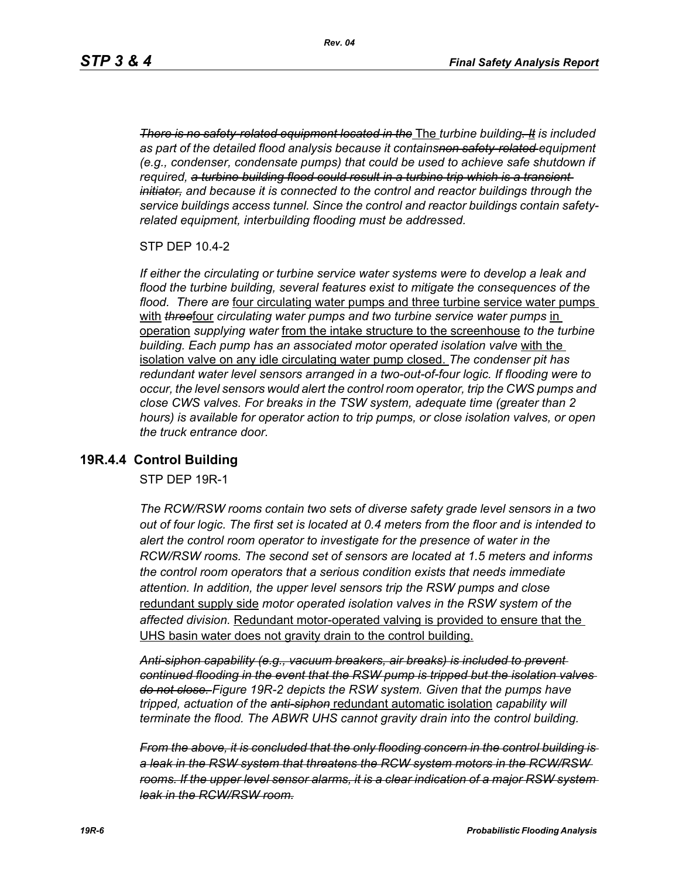*There is no safety-related equipment located in the* The *turbine building. It is included as part of the detailed flood analysis because it containsnon safety-related equipment (e.g., condenser, condensate pumps) that could be used to achieve safe shutdown if required, a turbine building flood could result in a turbine trip which is a transient initiator, and because it is connected to the control and reactor buildings through the service buildings access tunnel. Since the control and reactor buildings contain safetyrelated equipment, interbuilding flooding must be addressed.*

STP DEP 10.4-2

*If either the circulating or turbine service water systems were to develop a leak and flood the turbine building, several features exist to mitigate the consequences of the flood. There are* four circulating water pumps and three turbine service water pumps with **threefour** circulating water pumps and two turbine service water pumps in operation *supplying water* from the intake structure to the screenhouse *to the turbine building. Each pump has an associated motor operated isolation valve* with the isolation valve on any idle circulating water pump closed. *The condenser pit has redundant water level sensors arranged in a two-out-of-four logic. If flooding were to occur, the level sensors would alert the control room operator, trip the CWS pumps and close CWS valves. For breaks in the TSW system, adequate time (greater than 2 hours) is available for operator action to trip pumps, or close isolation valves, or open the truck entrance door.*

### **19R.4.4 Control Building**

STP DEP 19R-1

*The RCW/RSW rooms contain two sets of diverse safety grade level sensors in a two out of four logic. The first set is located at 0.4 meters from the floor and is intended to alert the control room operator to investigate for the presence of water in the RCW/RSW rooms. The second set of sensors are located at 1.5 meters and informs the control room operators that a serious condition exists that needs immediate attention. In addition, the upper level sensors trip the RSW pumps and close*  redundant supply side *motor operated isolation valves in the RSW system of the affected division.* Redundant motor-operated valving is provided to ensure that the UHS basin water does not gravity drain to the control building.

*Anti-siphon capability (e.g., vacuum breakers, air breaks) is included to prevent continued flooding in the event that the RSW pump is tripped but the isolation valves do not close. Figure 19R-2 depicts the RSW system. Given that the pumps have tripped, actuation of the anti-siphon* redundant automatic isolation *capability will terminate the flood. The ABWR UHS cannot gravity drain into the control building.*

*From the above, it is concluded that the only flooding concern in the control building is a leak in the RSW system that threatens the RCW system motors in the RCW/RSW rooms. If the upper level sensor alarms, it is a clear indication of a major RSW system leak in the RCW/RSW room.*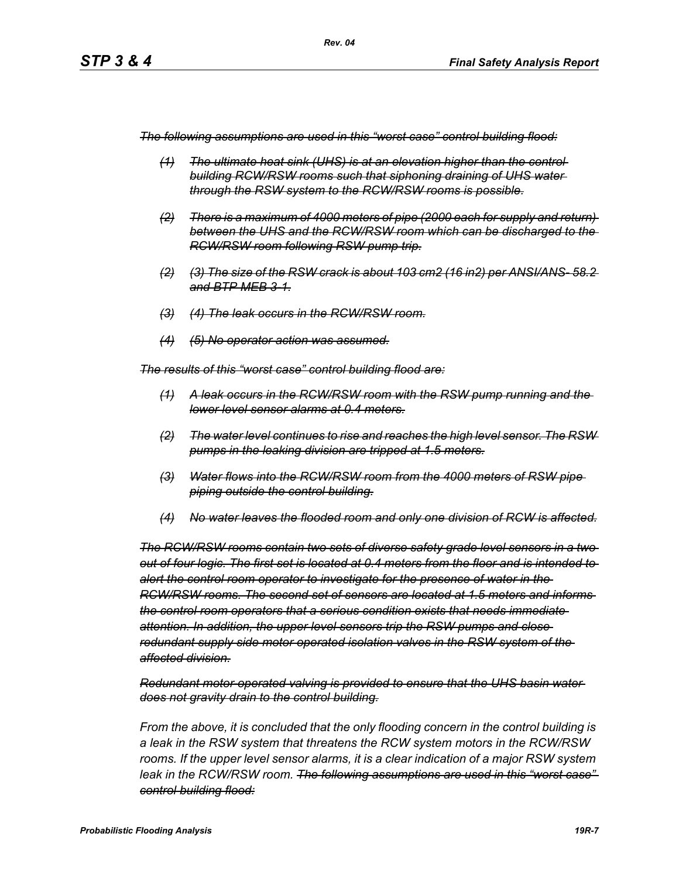*The following assumptions are used in this "worst case" control building flood:*

- *(1) The ultimate heat sink (UHS) is at an elevation higher than the control building RCW/RSW rooms such that siphoning draining of UHS water through the RSW system to the RCW/RSW rooms is possible.*
- *(2) There is a maximum of 4000 meters of pipe (2000 each for supply and return) between the UHS and the RCW/RSW room which can be discharged to the RCW/RSW room following RSW pump trip.*
- *(2) (3) The size of the RSW crack is about 103 cm2 (16 in2) per ANSI/ANS- 58.2 and BTP MEB 3-1.*
- *(3) (4) The leak occurs in the RCW/RSW room.*
- *(4) (5) No operator action was assumed.*

*The results of this "worst case" control building flood are:*

- *(1) A leak occurs in the RCW/RSW room with the RSW pump running and the lower level sensor alarms at 0.4 meters.*
- *(2) The water level continues to rise and reaches the high level sensor. The RSW pumps in the leaking division are tripped at 1.5 meters.*
- *(3) Water flows into the RCW/RSW room from the 4000 meters of RSW pipe piping outside the control building.*
- *(4) No water leaves the flooded room and only one division of RCW is affected.*

*The RCW/RSW rooms contain two sets of diverse safety grade level sensors in a two out of four logic. The first set is located at 0.4 meters from the floor and is intended to alert the control room operator to investigate for the presence of water in the RCW/RSW rooms. The second set of sensors are located at 1.5 meters and informs the control room operators that a serious condition exists that needs immediate attention. In addition, the upper level sensors trip the RSW pumps and close redundant supply side motor operated isolation valves in the RSW system of the affected division.*

*Redundant motor-operated valving is provided to ensure that the UHS basin water does not gravity drain to the control building.*

*From the above, it is concluded that the only flooding concern in the control building is a leak in the RSW system that threatens the RCW system motors in the RCW/RSW rooms. If the upper level sensor alarms, it is a clear indication of a major RSW system leak in the RCW/RSW room. The following assumptions are used in this "worst case" control building flood:*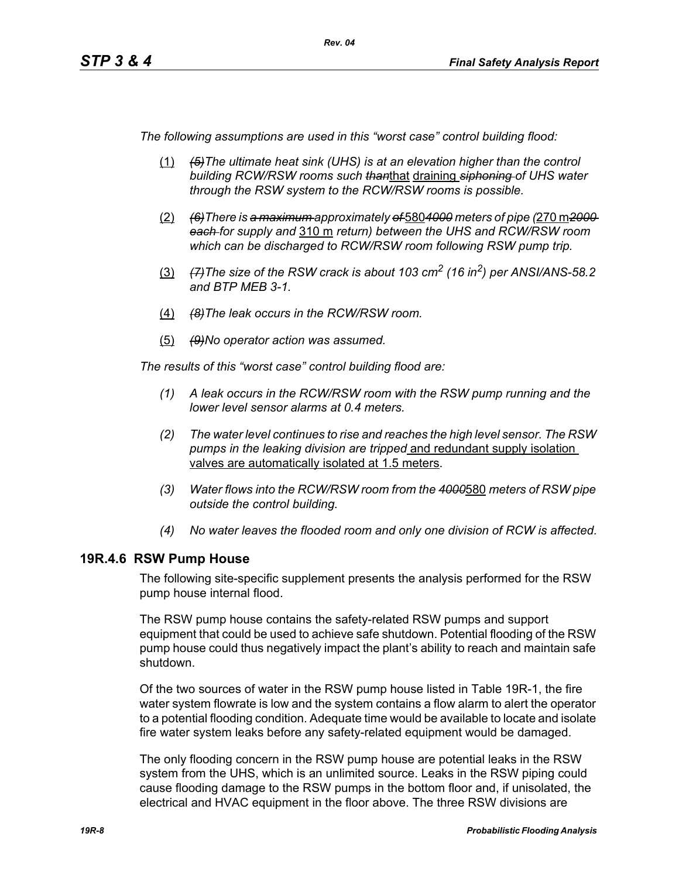*The following assumptions are used in this "worst case" control building flood:*

- (1) *(5)The ultimate heat sink (UHS) is at an elevation higher than the control building RCW/RSW rooms such than*that draining *siphoning of UHS water through the RSW system to the RCW/RSW rooms is possible.*
- (2) *(6)There is a maximum approximately of* 580*4000 meters of pipe (*270 m*2000 each for supply and* 310 m *return) between the UHS and RCW/RSW room which can be discharged to RCW/RSW room following RSW pump trip.*
- (3) *(7)The size of the RSW crack is about 103 cm2 (16 in2) per ANSI/ANS-58.2 and BTP MEB 3-1.*
- (4) *(8)The leak occurs in the RCW/RSW room.*
- (5) *(9)No operator action was assumed.*

*The results of this "worst case" control building flood are:*

- *(1) A leak occurs in the RCW/RSW room with the RSW pump running and the lower level sensor alarms at 0.4 meters.*
- *(2) The water level continues to rise and reaches the high level sensor. The RSW pumps in the leaking division are tripped* and redundant supply isolation valves are automatically isolated at 1.5 meters.
- *(3) Water flows into the RCW/RSW room from the 4000*580 *meters of RSW pipe outside the control building.*
- *(4) No water leaves the flooded room and only one division of RCW is affected.*

### **19R.4.6 RSW Pump House**

The following site-specific supplement presents the analysis performed for the RSW pump house internal flood.

The RSW pump house contains the safety-related RSW pumps and support equipment that could be used to achieve safe shutdown. Potential flooding of the RSW pump house could thus negatively impact the plant's ability to reach and maintain safe shutdown.

Of the two sources of water in the RSW pump house listed in Table 19R-1, the fire water system flowrate is low and the system contains a flow alarm to alert the operator to a potential flooding condition. Adequate time would be available to locate and isolate fire water system leaks before any safety-related equipment would be damaged.

The only flooding concern in the RSW pump house are potential leaks in the RSW system from the UHS, which is an unlimited source. Leaks in the RSW piping could cause flooding damage to the RSW pumps in the bottom floor and, if unisolated, the electrical and HVAC equipment in the floor above. The three RSW divisions are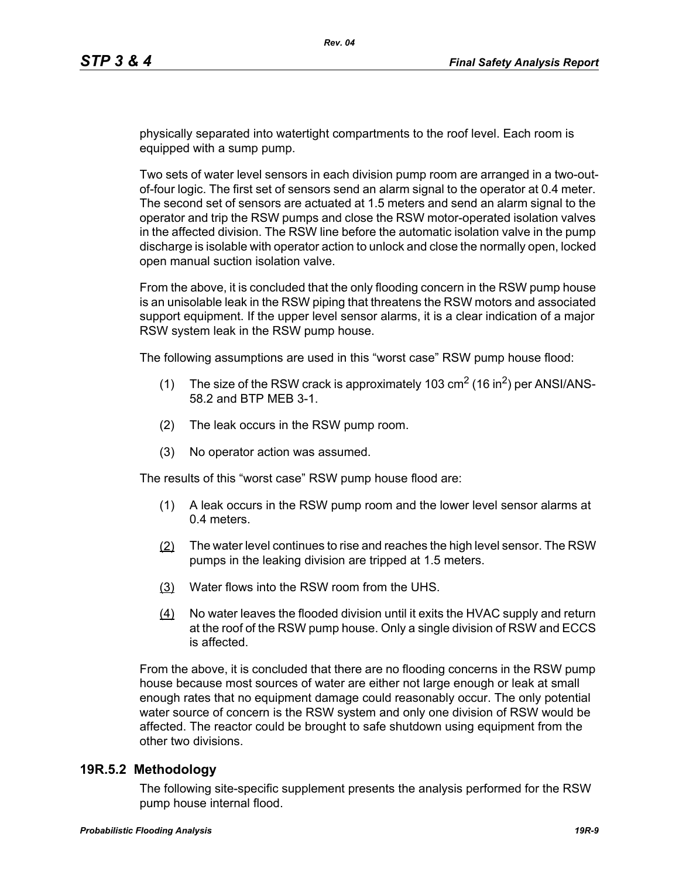physically separated into watertight compartments to the roof level. Each room is equipped with a sump pump.

Two sets of water level sensors in each division pump room are arranged in a two-outof-four logic. The first set of sensors send an alarm signal to the operator at 0.4 meter. The second set of sensors are actuated at 1.5 meters and send an alarm signal to the operator and trip the RSW pumps and close the RSW motor-operated isolation valves in the affected division. The RSW line before the automatic isolation valve in the pump discharge is isolable with operator action to unlock and close the normally open, locked open manual suction isolation valve.

From the above, it is concluded that the only flooding concern in the RSW pump house is an unisolable leak in the RSW piping that threatens the RSW motors and associated support equipment. If the upper level sensor alarms, it is a clear indication of a major RSW system leak in the RSW pump house.

The following assumptions are used in this "worst case" RSW pump house flood:

- (1) The size of the RSW crack is approximately 103  $\text{cm}^2$  (16 in<sup>2</sup>) per ANSI/ANS-58.2 and BTP MEB 3-1.
- (2) The leak occurs in the RSW pump room.
- (3) No operator action was assumed.

The results of this "worst case" RSW pump house flood are:

- (1) A leak occurs in the RSW pump room and the lower level sensor alarms at 0.4 meters.
- (2) The water level continues to rise and reaches the high level sensor. The RSW pumps in the leaking division are tripped at 1.5 meters.
- (3) Water flows into the RSW room from the UHS.
- (4) No water leaves the flooded division until it exits the HVAC supply and return at the roof of the RSW pump house. Only a single division of RSW and ECCS is affected.

From the above, it is concluded that there are no flooding concerns in the RSW pump house because most sources of water are either not large enough or leak at small enough rates that no equipment damage could reasonably occur. The only potential water source of concern is the RSW system and only one division of RSW would be affected. The reactor could be brought to safe shutdown using equipment from the other two divisions.

### **19R.5.2 Methodology**

The following site-specific supplement presents the analysis performed for the RSW pump house internal flood.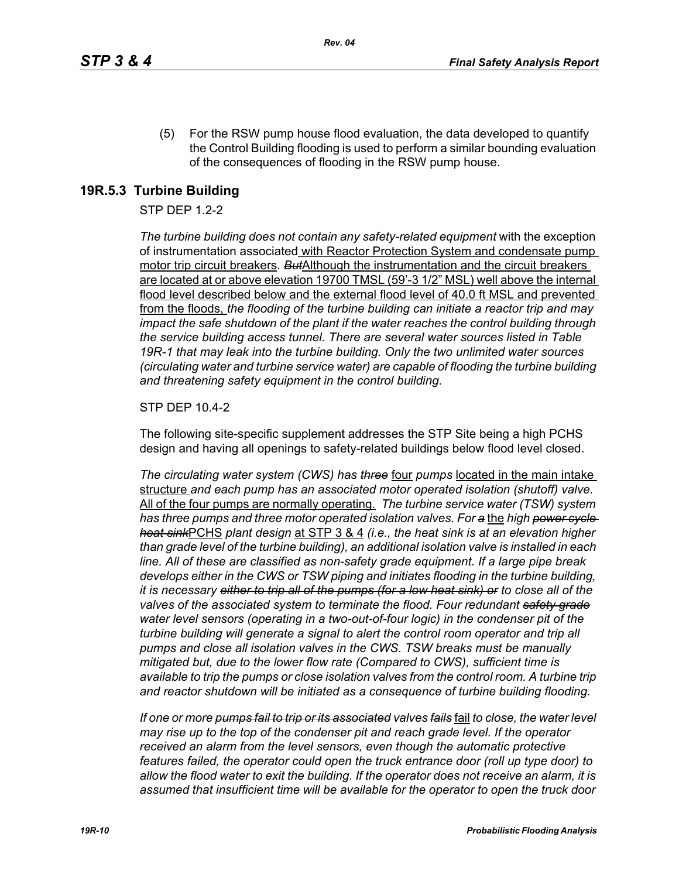(5) For the RSW pump house flood evaluation, the data developed to quantify the Control Building flooding is used to perform a similar bounding evaluation of the consequences of flooding in the RSW pump house.

## **19R.5.3 Turbine Building**

### STP DEP 1.2-2

*The turbine building does not contain any safety-related equipment* with the exception of instrumentation associated with Reactor Protection System and condensate pump motor trip circuit breakers*. But*Although the instrumentation and the circuit breakers are located at or above elevation 19700 TMSL (59'-3 1/2" MSL) well above the internal flood level described below and the external flood level of 40.0 ft MSL and prevented from the floods, *the flooding of the turbine building can initiate a reactor trip and may impact the safe shutdown of the plant if the water reaches the control building through the service building access tunnel. There are several water sources listed in Table 19R-1 that may leak into the turbine building. Only the two unlimited water sources (circulating water and turbine service water) are capable of flooding the turbine building and threatening safety equipment in the control building.*

### STP DEP 10.4-2

The following site-specific supplement addresses the STP Site being a high PCHS design and having all openings to safety-related buildings below flood level closed.

*The circulating water system (CWS) has three* four *pumps* located in the main intake structure *and each pump has an associated motor operated isolation (shutoff) valve.*  All of the four pumps are normally operating. *The turbine service water (TSW) system has three pumps and three motor operated isolation valves. For a* the *high power cycle heat sink*PCHS *plant design* at STP 3 & 4 *(i.e., the heat sink is at an elevation higher than grade level of the turbine building), an additional isolation valve is installed in each line. All of these are classified as non-safety grade equipment. If a large pipe break develops either in the CWS or TSW piping and initiates flooding in the turbine building, it is necessary either to trip all of the pumps (for a low heat sink) or to close all of the valves of the associated system to terminate the flood. Four redundant safety grade water level sensors (operating in a two-out-of-four logic) in the condenser pit of the turbine building will generate a signal to alert the control room operator and trip all pumps and close all isolation valves in the CWS. TSW breaks must be manually mitigated but, due to the lower flow rate (Compared to CWS), sufficient time is available to trip the pumps or close isolation valves from the control room. A turbine trip and reactor shutdown will be initiated as a consequence of turbine building flooding.*

*If one or more pumps fail to trip or its associated valves fails* fail *to close, the water level may rise up to the top of the condenser pit and reach grade level. If the operator received an alarm from the level sensors, even though the automatic protective features failed, the operator could open the truck entrance door (roll up type door) to allow the flood water to exit the building. If the operator does not receive an alarm, it is assumed that insufficient time will be available for the operator to open the truck door*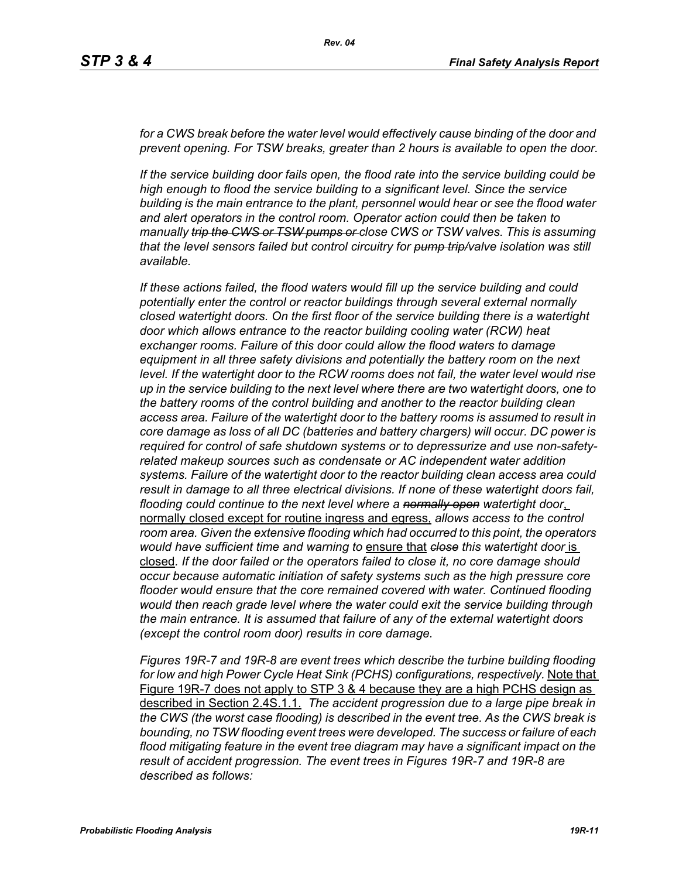for a CWS break before the water level would effectively cause binding of the door and *prevent opening. For TSW breaks, greater than 2 hours is available to open the door.*

*If the service building door fails open, the flood rate into the service building could be high enough to flood the service building to a significant level. Since the service building is the main entrance to the plant, personnel would hear or see the flood water and alert operators in the control room. Operator action could then be taken to manually trip the CWS or TSW pumps or close CWS or TSW valves. This is assuming that the level sensors failed but control circuitry for pump trip/valve isolation was still available.*

*If these actions failed, the flood waters would fill up the service building and could potentially enter the control or reactor buildings through several external normally closed watertight doors. On the first floor of the service building there is a watertight door which allows entrance to the reactor building cooling water (RCW) heat exchanger rooms. Failure of this door could allow the flood waters to damage equipment in all three safety divisions and potentially the battery room on the next*  level. If the watertight door to the RCW rooms does not fail, the water level would rise *up in the service building to the next level where there are two watertight doors, one to the battery rooms of the control building and another to the reactor building clean access area. Failure of the watertight door to the battery rooms is assumed to result in core damage as loss of all DC (batteries and battery chargers) will occur. DC power is required for control of safe shutdown systems or to depressurize and use non-safetyrelated makeup sources such as condensate or AC independent water addition systems. Failure of the watertight door to the reactor building clean access area could result in damage to all three electrical divisions. If none of these watertight doors fail, flooding could continue to the next level where a normally open watertight door*, normally closed except for routine ingress and egress, *allows access to the control room area. Given the extensive flooding which had occurred to this point, the operators would have sufficient time and warning to* ensure that *close this watertight door* is closed*. If the door failed or the operators failed to close it, no core damage should occur because automatic initiation of safety systems such as the high pressure core flooder would ensure that the core remained covered with water. Continued flooding would then reach grade level where the water could exit the service building through the main entrance. It is assumed that failure of any of the external watertight doors (except the control room door) results in core damage.*

*Figures 19R-7 and 19R-8 are event trees which describe the turbine building flooding for low and high Power Cycle Heat Sink (PCHS) configurations, respectively.* Note that Figure 19R-7 does not apply to STP 3 & 4 because they are a high PCHS design as described in Section 2.4S.1.1. *The accident progression due to a large pipe break in the CWS (the worst case flooding) is described in the event tree. As the CWS break is bounding, no TSW flooding event trees were developed. The success or failure of each flood mitigating feature in the event tree diagram may have a significant impact on the result of accident progression. The event trees in Figures 19R-7 and 19R-8 are described as follows:*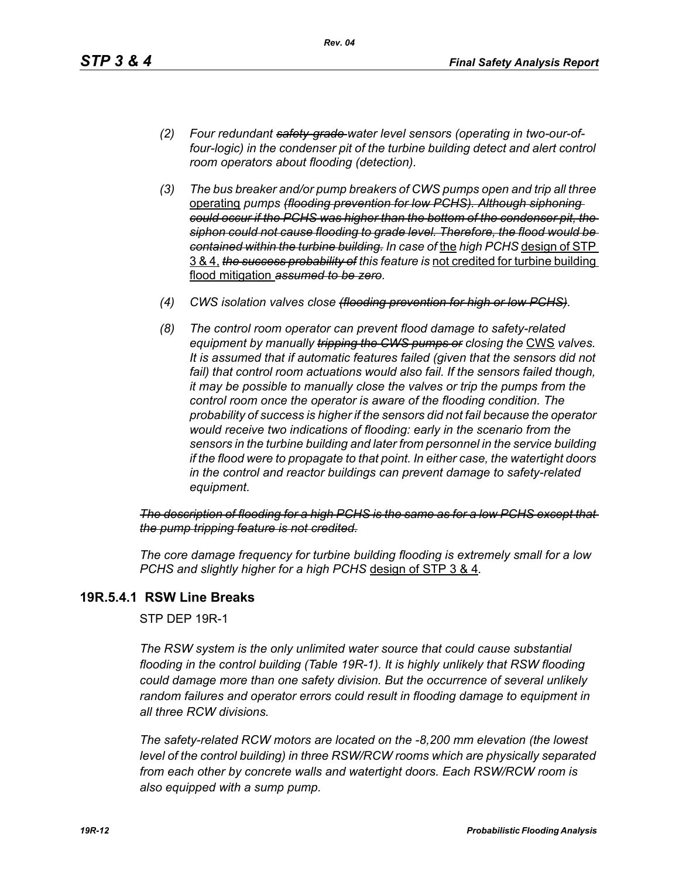- *(2) Four redundant safety-grade water level sensors (operating in two-our-offour-logic) in the condenser pit of the turbine building detect and alert control room operators about flooding (detection).*
- *(3) The bus breaker and/or pump breakers of CWS pumps open and trip all three*  operating *pumps (flooding prevention for low PCHS). Although siphoning could occur if the PCHS was higher than the bottom of the condenser pit, the siphon could not cause flooding to grade level. Therefore, the flood would be contained within the turbine building. In case of* the *high PCHS* design of STP 3 & 4, *the success probability of this feature is* not credited for turbine building flood mitigation *assumed to be zero.*
- *(4) CWS isolation valves close (flooding prevention for high or low PCHS).*
- *(8) The control room operator can prevent flood damage to safety-related equipment by manually tripping the GWS pumps or closing the CWS valves. It is assumed that if automatic features failed (given that the sensors did not*  fail) that control room actuations would also fail. If the sensors failed though, *it may be possible to manually close the valves or trip the pumps from the control room once the operator is aware of the flooding condition. The probability of success is higher if the sensors did not fail because the operator would receive two indications of flooding: early in the scenario from the sensors in the turbine building and later from personnel in the service building if the flood were to propagate to that point. In either case, the watertight doors in the control and reactor buildings can prevent damage to safety-related equipment.*

*The description of flooding for a high PCHS is the same as for a low PCHS except that the pump tripping feature is not credited.*

*The core damage frequency for turbine building flooding is extremely small for a low PCHS and slightly higher for a high PCHS* design of STP 3 & 4*.*

## **19R.5.4.1 RSW Line Breaks**

STP DEP 19R-1

*The RSW system is the only unlimited water source that could cause substantial flooding in the control building (Table 19R-1). It is highly unlikely that RSW flooding could damage more than one safety division. But the occurrence of several unlikely random failures and operator errors could result in flooding damage to equipment in all three RCW divisions.* 

*The safety-related RCW motors are located on the -8,200 mm elevation (the lowest level of the control building) in three RSW/RCW rooms which are physically separated from each other by concrete walls and watertight doors. Each RSW/RCW room is also equipped with a sump pump.*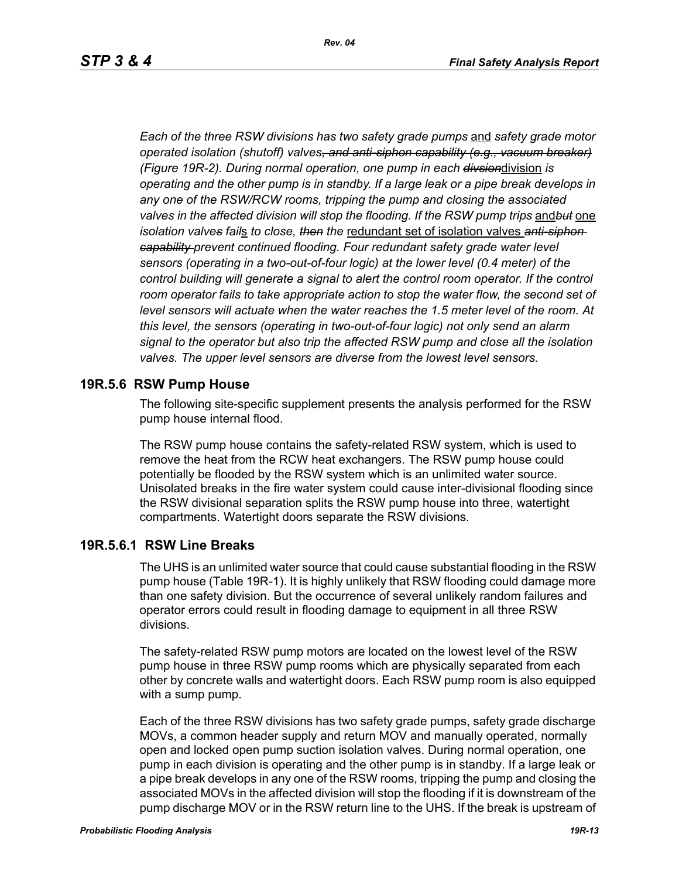*Each of the three RSW divisions has two safety grade pumps* and *safety grade motor operated isolation (shutoff) valves, and anti-siphon capability (e.g., vacuum breaker) (Figure 19R-2). During normal operation, one pump in each divsion*division *is operating and the other pump is in standby. If a large leak or a pipe break develops in any one of the RSW/RCW rooms, tripping the pump and closing the associated valves in the affected division will stop the flooding. If the RSW pump trips* and*but* one *isolation valves fail*s *to close, then the* redundant set of isolation valves *anti-siphon capability prevent continued flooding. Four redundant safety grade water level sensors (operating in a two-out-of-four logic) at the lower level (0.4 meter) of the*  control building will generate a signal to alert the control room operator. If the control room operator fails to take appropriate action to stop the water flow, the second set of *level sensors will actuate when the water reaches the 1.5 meter level of the room. At this level, the sensors (operating in two-out-of-four logic) not only send an alarm signal to the operator but also trip the affected RSW pump and close all the isolation valves. The upper level sensors are diverse from the lowest level sensors.*

### **19R.5.6 RSW Pump House**

The following site-specific supplement presents the analysis performed for the RSW pump house internal flood.

The RSW pump house contains the safety-related RSW system, which is used to remove the heat from the RCW heat exchangers. The RSW pump house could potentially be flooded by the RSW system which is an unlimited water source. Unisolated breaks in the fire water system could cause inter-divisional flooding since the RSW divisional separation splits the RSW pump house into three, watertight compartments. Watertight doors separate the RSW divisions.

### **19R.5.6.1 RSW Line Breaks**

The UHS is an unlimited water source that could cause substantial flooding in the RSW pump house (Table 19R-1). It is highly unlikely that RSW flooding could damage more than one safety division. But the occurrence of several unlikely random failures and operator errors could result in flooding damage to equipment in all three RSW divisions.

The safety-related RSW pump motors are located on the lowest level of the RSW pump house in three RSW pump rooms which are physically separated from each other by concrete walls and watertight doors. Each RSW pump room is also equipped with a sump pump.

Each of the three RSW divisions has two safety grade pumps, safety grade discharge MOVs, a common header supply and return MOV and manually operated, normally open and locked open pump suction isolation valves. During normal operation, one pump in each division is operating and the other pump is in standby. If a large leak or a pipe break develops in any one of the RSW rooms, tripping the pump and closing the associated MOVs in the affected division will stop the flooding if it is downstream of the pump discharge MOV or in the RSW return line to the UHS. If the break is upstream of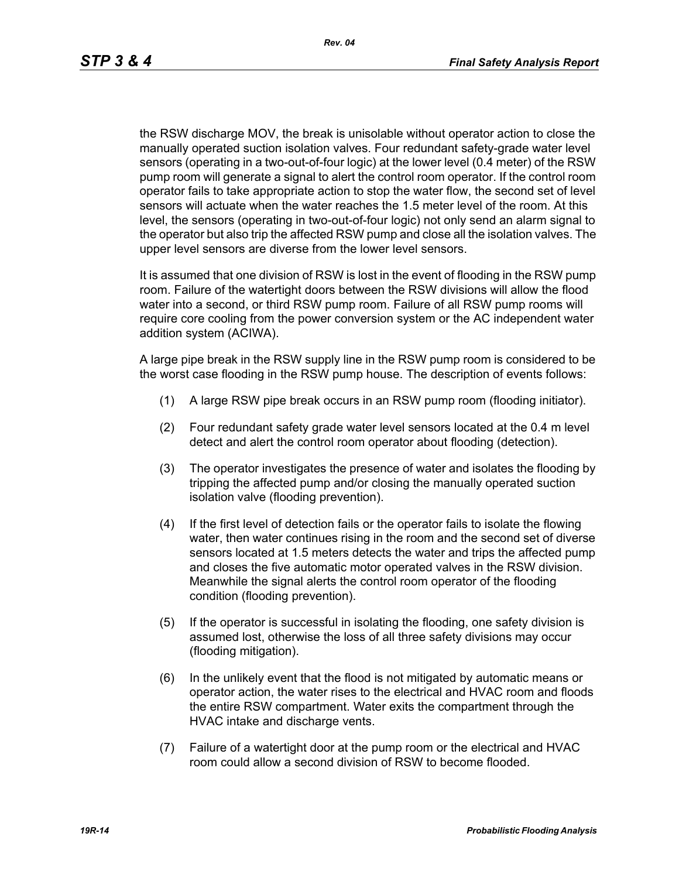the RSW discharge MOV, the break is unisolable without operator action to close the manually operated suction isolation valves. Four redundant safety-grade water level sensors (operating in a two-out-of-four logic) at the lower level (0.4 meter) of the RSW pump room will generate a signal to alert the control room operator. If the control room operator fails to take appropriate action to stop the water flow, the second set of level sensors will actuate when the water reaches the 1.5 meter level of the room. At this level, the sensors (operating in two-out-of-four logic) not only send an alarm signal to the operator but also trip the affected RSW pump and close all the isolation valves. The upper level sensors are diverse from the lower level sensors.

It is assumed that one division of RSW is lost in the event of flooding in the RSW pump room. Failure of the watertight doors between the RSW divisions will allow the flood water into a second, or third RSW pump room. Failure of all RSW pump rooms will require core cooling from the power conversion system or the AC independent water addition system (ACIWA).

A large pipe break in the RSW supply line in the RSW pump room is considered to be the worst case flooding in the RSW pump house. The description of events follows:

- (1) A large RSW pipe break occurs in an RSW pump room (flooding initiator).
- (2) Four redundant safety grade water level sensors located at the 0.4 m level detect and alert the control room operator about flooding (detection).
- (3) The operator investigates the presence of water and isolates the flooding by tripping the affected pump and/or closing the manually operated suction isolation valve (flooding prevention).
- (4) If the first level of detection fails or the operator fails to isolate the flowing water, then water continues rising in the room and the second set of diverse sensors located at 1.5 meters detects the water and trips the affected pump and closes the five automatic motor operated valves in the RSW division. Meanwhile the signal alerts the control room operator of the flooding condition (flooding prevention).
- (5) If the operator is successful in isolating the flooding, one safety division is assumed lost, otherwise the loss of all three safety divisions may occur (flooding mitigation).
- (6) In the unlikely event that the flood is not mitigated by automatic means or operator action, the water rises to the electrical and HVAC room and floods the entire RSW compartment. Water exits the compartment through the HVAC intake and discharge vents.
- (7) Failure of a watertight door at the pump room or the electrical and HVAC room could allow a second division of RSW to become flooded.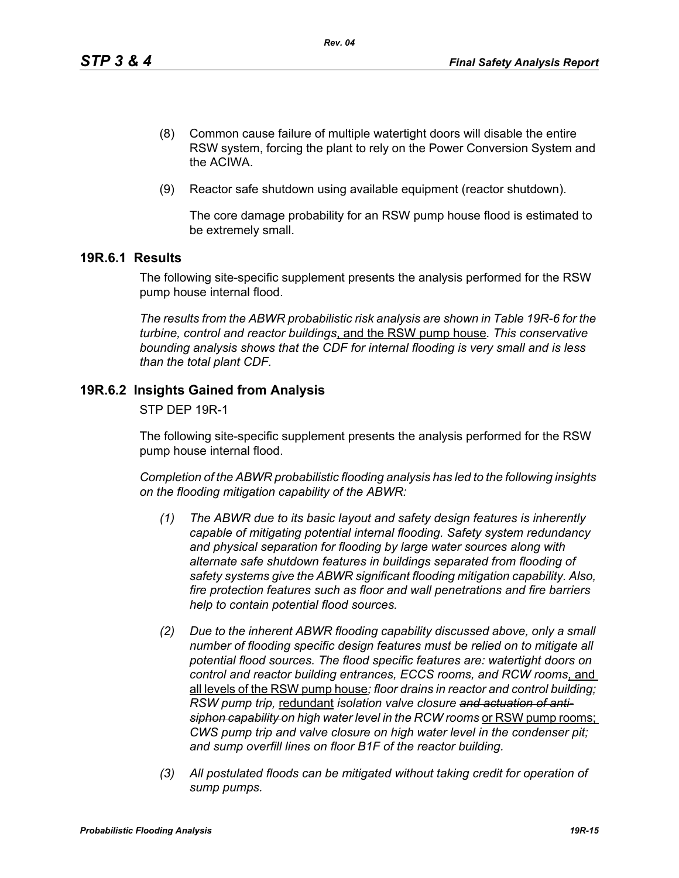- (8) Common cause failure of multiple watertight doors will disable the entire RSW system, forcing the plant to rely on the Power Conversion System and the ACIWA.
- (9) Reactor safe shutdown using available equipment (reactor shutdown).

The core damage probability for an RSW pump house flood is estimated to be extremely small.

## **19R.6.1 Results**

The following site-specific supplement presents the analysis performed for the RSW pump house internal flood.

*The results from the ABWR probabilistic risk analysis are shown in Table 19R-6 for the turbine, control and reactor buildings*, and the RSW pump house*. This conservative bounding analysis shows that the CDF for internal flooding is very small and is less than the total plant CDF.*

## **19R.6.2 Insights Gained from Analysis**

STP DEP 19R-1

The following site-specific supplement presents the analysis performed for the RSW pump house internal flood.

*Completion of the ABWR probabilistic flooding analysis has led to the following insights on the flooding mitigation capability of the ABWR:*

- *(1) The ABWR due to its basic layout and safety design features is inherently capable of mitigating potential internal flooding. Safety system redundancy and physical separation for flooding by large water sources along with alternate safe shutdown features in buildings separated from flooding of safety systems give the ABWR significant flooding mitigation capability. Also, fire protection features such as floor and wall penetrations and fire barriers help to contain potential flood sources.*
- *(2) Due to the inherent ABWR flooding capability discussed above, only a small number of flooding specific design features must be relied on to mitigate all potential flood sources. The flood specific features are: watertight doors on control and reactor building entrances, ECCS rooms, and RCW rooms*, and all levels of the RSW pump house*; floor drains in reactor and control building; RSW pump trip,* redundant *isolation valve closure and actuation of anti*siphon capability on high water level in the RCW rooms or RSW pump rooms; *CWS pump trip and valve closure on high water level in the condenser pit; and sump overfill lines on floor B1F of the reactor building.*
- *(3) All postulated floods can be mitigated without taking credit for operation of sump pumps.*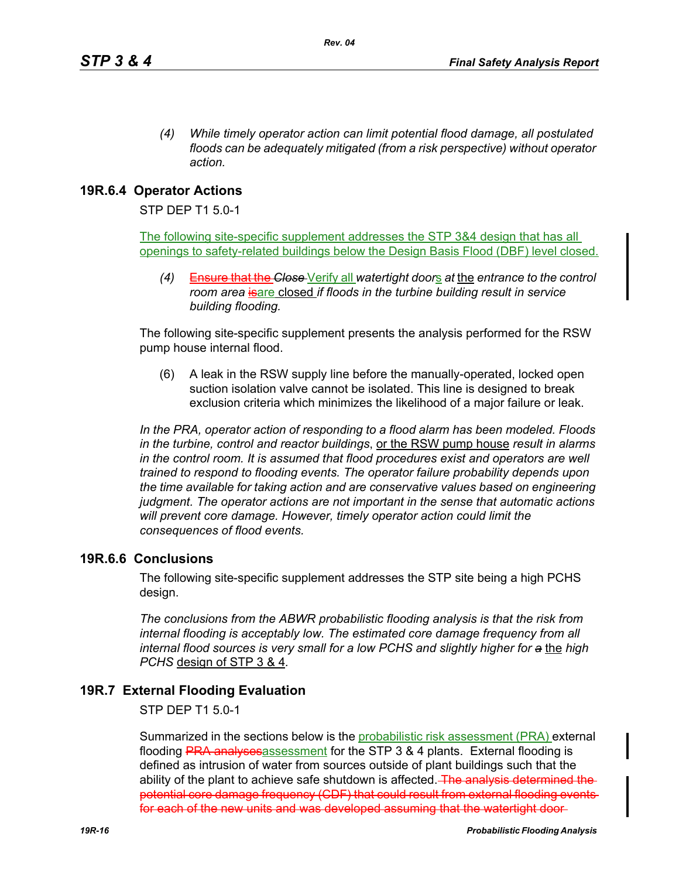*(4) While timely operator action can limit potential flood damage, all postulated floods can be adequately mitigated (from a risk perspective) without operator action.*

## **19R.6.4 Operator Actions**

STP DEP T1 5.0-1

The following site-specific supplement addresses the STP 3&4 design that has all openings to safety-related buildings below the Design Basis Flood (DBF) level closed.

*(4)* Ensure that the *Close* Verify all *watertight door*s *at* the *entrance to the control room area* is are closed *if floods in the turbine building result in service building flooding.*

The following site-specific supplement presents the analysis performed for the RSW pump house internal flood.

(6) A leak in the RSW supply line before the manually-operated, locked open suction isolation valve cannot be isolated. This line is designed to break exclusion criteria which minimizes the likelihood of a major failure or leak.

*In the PRA, operator action of responding to a flood alarm has been modeled. Floods in the turbine, control and reactor buildings*, or the RSW pump house *result in alarms in the control room. It is assumed that flood procedures exist and operators are well trained to respond to flooding events. The operator failure probability depends upon the time available for taking action and are conservative values based on engineering judgment. The operator actions are not important in the sense that automatic actions will prevent core damage. However, timely operator action could limit the consequences of flood events.* 

## **19R.6.6 Conclusions**

The following site-specific supplement addresses the STP site being a high PCHS design.

*The conclusions from the ABWR probabilistic flooding analysis is that the risk from internal flooding is acceptably low. The estimated core damage frequency from all internal flood sources is very small for a low PCHS and slightly higher for a* the *high PCHS* design of STP 3 & 4*.*

## **19R.7 External Flooding Evaluation**

STP DEP T1 5.0-1

Summarized in the sections below is the probabilistic risk assessment (PRA) external flooding PRA analysesassessment for the STP 3 & 4 plants. External flooding is defined as intrusion of water from sources outside of plant buildings such that the ability of the plant to achieve safe shutdown is affected. The analysis determined the potential core damage frequency (CDF) that could result from external flooding events for each of the new units and was developed assuming that the watertight door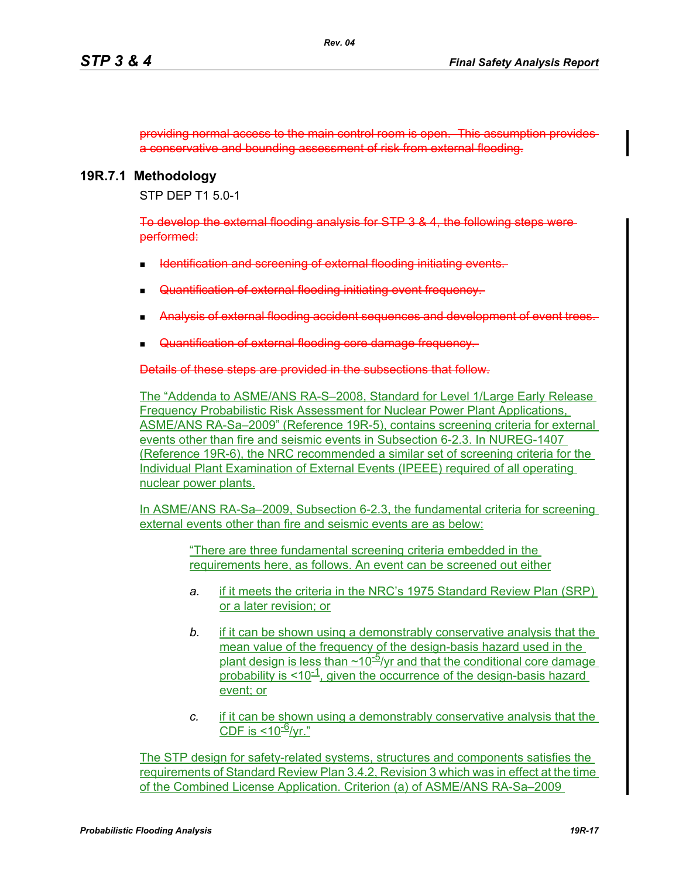providing normal access to the main control room is open. This assumption provides a conservative and bounding assessment of risk from external flooding.

### **19R.7.1 Methodology**

STP DEP T1 5.0-1

To develop the external flooding analysis for STP 3 & 4, the following steps were performed:

- Identification and screening of external flooding initiating events.
- Quantification of external flooding initiating event frequency.
- Analysis of external flooding accident sequences and development of event of the
- Quantification of external flooding core damage frequency.

Details of these steps are provided in the subsections that follow.

The "Addenda to ASME/ANS RA-S–2008, Standard for Level 1/Large Early Release Frequency Probabilistic Risk Assessment for Nuclear Power Plant Applications, ASME/ANS RA-Sa–2009" (Reference 19R-5), contains screening criteria for external events other than fire and seismic events in Subsection 6-2.3. In NUREG-1407 (Reference 19R-6), the NRC recommended a similar set of screening criteria for the Individual Plant Examination of External Events (IPEEE) required of all operating nuclear power plants.

In ASME/ANS RA-Sa–2009, Subsection 6-2.3, the fundamental criteria for screening external events other than fire and seismic events are as below:

> "There are three fundamental screening criteria embedded in the requirements here, as follows. An event can be screened out either

- *a.* if it meets the criteria in the NRC's 1975 Standard Review Plan (SRP) or a later revision; or
- *b.* if it can be shown using a demonstrably conservative analysis that the mean value of the frequency of the design-basis hazard used in the plant design is less than  $\sim$ 10<sup>-5</sup>/yr and that the conditional core damage probability is  $\leq 10^{-1}$ , given the occurrence of the design-basis hazard event; or
- *c.* if it can be shown using a demonstrably conservative analysis that the CDF is  $<$ 10<sup>-6</sup>/vr."

The STP design for safety-related systems, structures and components satisfies the requirements of Standard Review Plan 3.4.2, Revision 3 which was in effect at the time of the Combined License Application. Criterion (a) of ASME/ANS RA-Sa–2009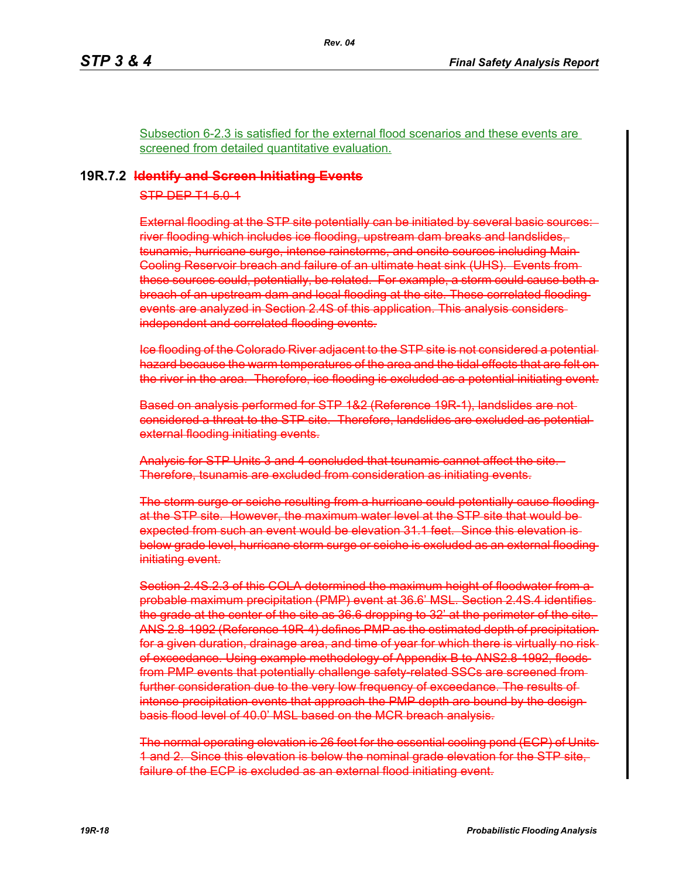Subsection 6-2.3 is satisfied for the external flood scenarios and these events are screened from detailed quantitative evaluation.

*Rev. 04*

### **19R.7.2 Identify and Screen Initiating Events**

STP DEP T1 5.0-1

External flooding at the STP site potentially can be initiated by several basic sources: river flooding which includes ice flooding, upstream dam breaks and landslides, tsunamis, hurricane surge, intense rainstorms, and onsite sources including Main Cooling Reservoir breach and failure of an ultimate heat sink (UHS). Events from these sources could, potentially, be related. For example, a storm could cause both a breach of an upstream dam and local flooding at the site. These correlated flooding events are analyzed in Section 2.4S of this application. This analysis considers independent and correlated flooding events.

Ice flooding of the Colorado River adjacent to the STP site is not considered a potential hazard because the warm temperatures of the area and the tidal effects that are felt on the river in the area. Therefore, ice flooding is excluded as a potential initiating event.

Based on analysis performed for STP 1&2 (Reference 19R-1), landslides are not considered a threat to the STP site. Therefore, landslides are excluded as potential external flooding initiating events.

Analysis for STP Units 3 and 4 concluded that tsunamis cannot affect the site. Therefore, tsunamis are excluded from consideration as initiating events.

The storm surge or seiche resulting from a hurricane could potentially cause flooding at the STP site. However, the maximum water level at the STP site that would be expected from such an event would be elevation 31.1 feet. Since this elevation is below grade level, hurricane storm surge or seiche is excluded as an external flooding initiating event.

Section 2.4S.2.3 of this COLA determined the maximum height of floodwater from a probable maximum precipitation (PMP) event at 36.6' MSL. Section 2.4S.4 identifies the grade at the center of the site as 36.6 dropping to 32' at the perimeter of the site. ANS 2.8-1992 (Reference 19R-4) defines PMP as the estimated depth of precipitation for a given duration, drainage area, and time of year for which there is virtually no risk of exceedance. Using example methodology of Appendix B to ANS2.8-1992, floods from PMP events that potentially challenge safety related SSCs are screened fromfurther consideration due to the very low frequency of exceedance. The results of intense precipitation events that approach the PMP depth are bound by the designbasis flood level of 40.0' MSL based on the MCR breach analysis.

The normal operating elevation is 26 feet for the essential cooling pond (ECP) of Units 1 and 2. Since this elevation is below the nominal grade elevation for the STP site, failure of the ECP is excluded as an external flood initiating event.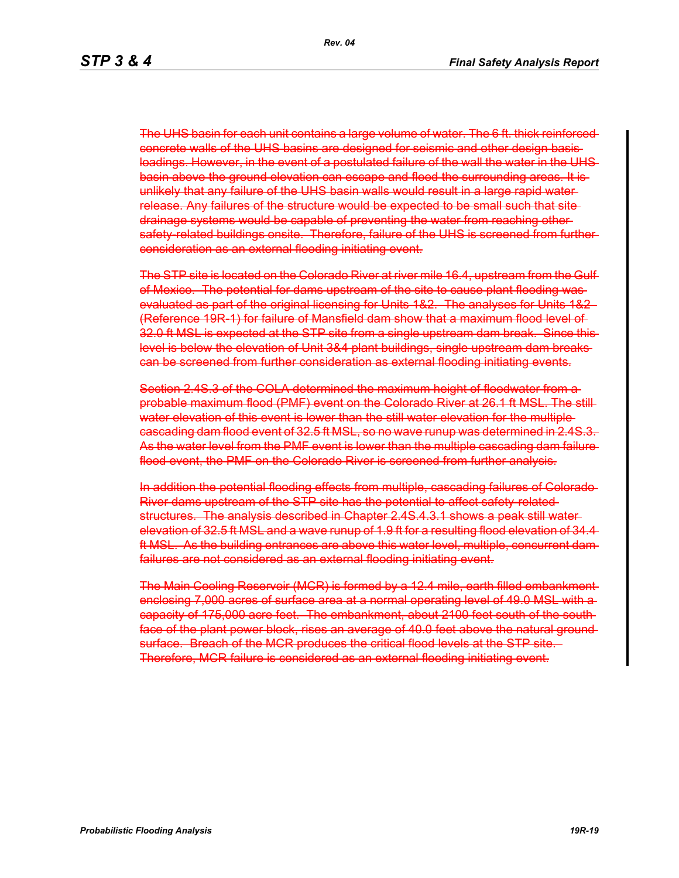The UHS basin for each unit contains a large volume of water. The 6 ft. thick reinforced concrete walls of the UHS basins are designed for seismic and other design basisloadings. However, in the event of a postulated failure of the wall the water in the UHS basin above the ground elevation can escape and flood the surrounding areas. It is unlikely that any failure of the UHS basin walls would result in a large rapid water release. Any failures of the structure would be expected to be small such that site drainage systems would be capable of preventing the water from reaching other safety-related buildings onsite. Therefore, failure of the UHS is screened from further consideration as an external flooding initiating event.

The STP site is located on the Colorado River at river mile 16.4, upstream from the Gulf of Mexico. The potential for dams upstream of the site to cause plant flooding was evaluated as part of the original licensing for Units 1&2. The analyses for Units 1&2 (Reference 19R-1) for failure of Mansfield dam show that a maximum flood level of 32.0 ft MSL is expected at the STP site from a single upstream dam break. Since this level is below the elevation of Unit 3&4 plant buildings, single upstream dam breaks can be screened from further consideration as external flooding initiating events.

Section 2.4S.3 of the COLA determined the maximum height of floodwater from a probable maximum flood (PMF) event on the Colorado River at 26.1 ft MSL. The still water elevation of this event is lower than the still water elevation for the multiple cascading dam flood event of 32.5 ft MSL, so no wave runup was determined in 2.4S.3. As the water level from the PMF event is lower than the multiple cascading dam failure flood event, the PMF on the Colorado River is screened from further analysis.

In addition the potential flooding effects from multiple, cascading failures of Colorado River dams upstream of the STP site has the potential to affect safety-related structures. The analysis described in Chapter 2.4S.4.3.1 shows a peak still water elevation of 32.5 ft MSL and a wave runup of 1.9 ft for a resulting flood elevation of 34.4 ft MSL. As the building entrances are above this water level, multiple, concurrent dam failures are not considered as an external flooding initiating event.

The Main Cooling Reservoir (MCR) is formed by a 12.4 mile, earth filled embankment enclosing 7,000 acres of surface area at a normal operating level of 49.0 MSL with a capacity of 175,000 acre feet. The embankment, about 2100 feet south of the south face of the plant power block, rises an average of 40.0 feet above the natural ground surface. Breach of the MCR produces the critical flood levels at the STP site. Therefore, MCR failure is considered as an external flooding initiating event.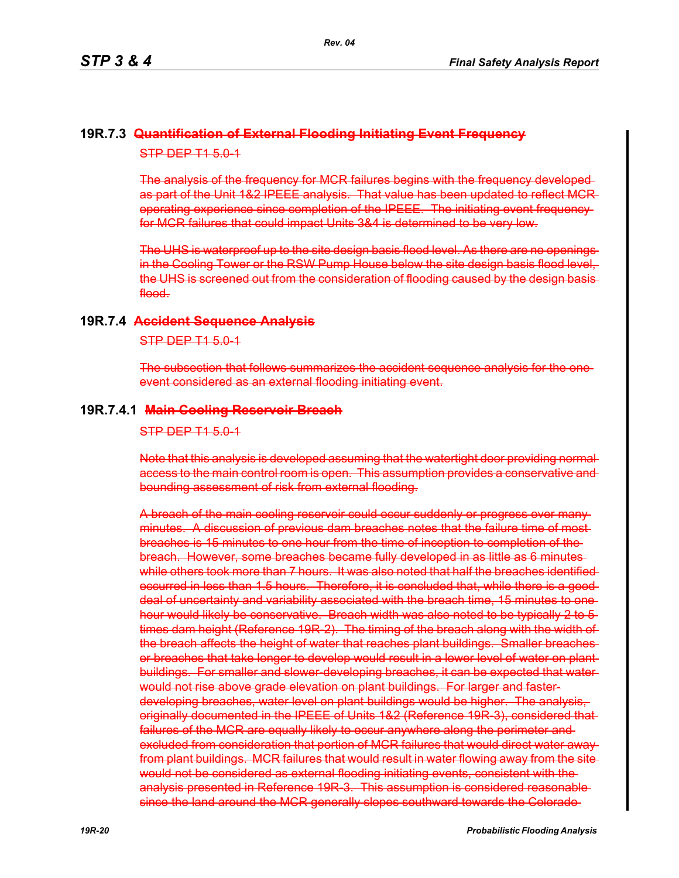## **19R.7.3 Quantification of External Flooding Initiating Event Frequency** STP DEP T1 5.0-1

The analysis of the frequency for MCR failures begins with the frequency developed as part of the Unit 1&2 IPEEE analysis. That value has been updated to reflect MCR operating experience since completion of the IPEEE. The initiating event frequency for MCR failures that could impact Units 3&4 is determined to be very low.

The UHS is waterproof up to the site design basis flood level. As there are no openings in the Cooling Tower or the RSW Pump House below the site design basis flood level, the UHS is screened out from the consideration of flooding caused by the design basis flood.

### **19R.7.4 Accident Sequence Analysis**

#### STP DEP T1 5.0-1

The subsection that follows summarizes the accident sequence analysis for the one event considered as an external flooding initiating event.

#### **19R.7.4.1 Main Cooling Reservoir Breach**

#### $STP$  DEP T1 5.0-1

Note that this analysis is developed assuming that the watertight door providing normal access to the main control room is open. This assumption provides a conservative and bounding assessment of risk from external flooding.

A breach of the main cooling reservoir could occur suddenly or progress over many minutes. A discussion of previous dam breaches notes that the failure time of most breaches is 15 minutes to one hour from the time of inception to completion of the breach. However, some breaches became fully developed in as little as 6 minutes while others took more than 7 hours. It was also noted that half the breaches identified occurred in less than 1.5 hours. Therefore, it is concluded that, while there is a good deal of uncertainty and variability associated with the breach time, 15 minutes to one hour would likely be conservative. Breach width was also noted to be typically 2 to 5times dam height (Reference 19R 2). The timing of the breach along with the width of the breach affects the height of water that reaches plant buildings. Smaller breaches or breaches that take longer to develop would result in a lower level of water on plant buildings. For smaller and slower-developing breaches, it can be expected that waterwould not rise above grade elevation on plant buildings. For larger and fasterdeveloping breaches, water level on plant buildings would be higher. The analysis, originally documented in the IPEEE of Units 1&2 (Reference 19R-3), considered that failures of the MCR are equally likely to occur anywhere along the perimeter and excluded from consideration that portion of MCR failures that would direct water away from plant buildings. MCR failures that would result in water flowing away from the site would not be considered as external flooding initiating events, consistent with the analysis presented in Reference 19R 3. This assumption is considered reasonablesince the land around the MCR generally slopes southward towards the Colorado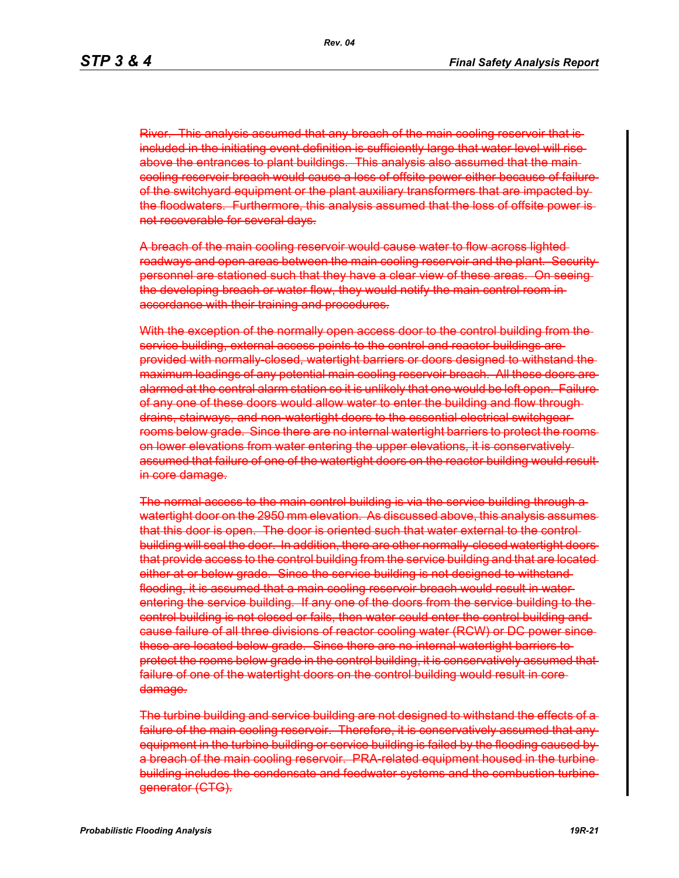River. This analysis assumed that any breach of the main cooling reservoir that is included in the initiating event definition is sufficiently large that water level will rise above the entrances to plant buildings. This analysis also assumed that the main cooling reservoir breach would cause a loss of offsite power either because of failure of the switchyard equipment or the plant auxiliary transformers that are impacted by the floodwaters. Furthermore, this analysis assumed that the loss of offsite power is not recoverable for several days.

A breach of the main cooling reservoir would cause water to flow across lighted roadways and open areas between the main cooling reservoir and the plant. Security personnel are stationed such that they have a clear view of these areas. On seeing the developing breach or water flow, they would notify the main control room in accordance with their training and procedures.

With the exception of the normally open access door to the control building from the service building, external access points to the control and reactor buildings areprovided with normally-closed, watertight barriers or doors designed to withstand the maximum loadings of any potential main cooling reservoir breach. All these doors are alarmed at the central alarm station so it is unlikely that one would be left open. Failure of any one of these doors would allow water to enter the building and flow through drains, stairways, and non-watertight doors to the essential electrical switchgear rooms below grade. Since there are no internal watertight barriers to protect the rooms on lower elevations from water entering the upper elevations, it is conservatively assumed that failure of one of the watertight doors on the reactor building would result in core damage.

The normal access to the main control building is via the service building through a watertight door on the 2950 mm elevation. As discussed above, this analysis assumes that this door is open. The door is oriented such that water external to the control building will seal the door. In addition, there are other normally-closed watertight doors that provide access to the control building from the service building and that are located either at or below grade. Since the service building is not designed to withstandflooding, it is assumed that a main cooling reservoir breach would result in water entering the service building. If any one of the doors from the service building to the control building is not closed or fails, then water could enter the control building and cause failure of all three divisions of reactor cooling water (RCW) or DC power since these are located below grade. Since there are no internal watertight barriers to protect the rooms below grade in the control building, it is conservatively assumed that failure of one of the watertight doors on the control building would result in core damage.

The turbine building and service building are not designed to withstand the effects of a failure of the main cooling reservoir. Therefore, it is conservatively assumed that any equipment in the turbine building or service building is failed by the flooding caused by a breach of the main cooling reservoir. PRA-related equipment housed in the turbine building includes the condensate and feedwater systems and the combustion turbine generator (CTG).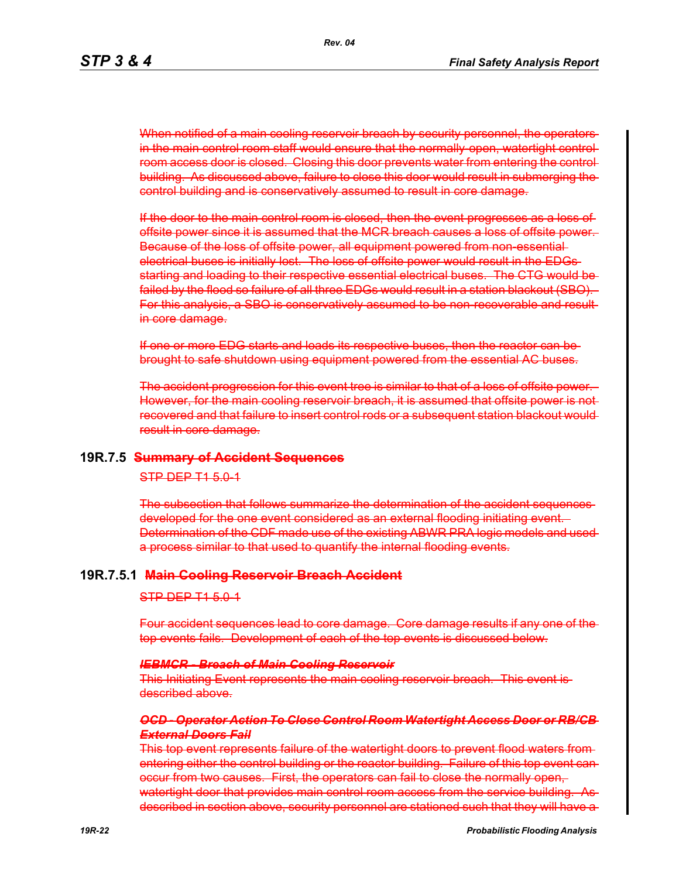When notified of a main cooling reservoir breach by security personnel, the operators in the main control room staff would ensure that the normally-open, watertight controlroom access door is closed. Closing this door prevents water from entering the control building. As discussed above, failure to close this door would result in submerging the control building and is conservatively assumed to result in core damage.

If the door to the main control room is closed, then the event progresses as a loss of offsite power since it is assumed that the MCR breach causes a loss of offsite power. Because of the loss of offsite power, all equipment powered from non-essential electrical buses is initially lost. The loss of offsite power would result in the EDGs starting and loading to their respective essential electrical buses. The CTG would be failed by the flood so failure of all three EDGs would result in a station blackout (SBO). For this analysis, a SBO is conservatively assumed to be non-recoverable and result in core damage.

If one or more EDG starts and loads its respective buses, then the reactor can be brought to safe shutdown using equipment powered from the essential AC buses.

The accident progression for this event tree is similar to that of a loss of offsite power. However, for the main cooling reservoir breach, it is assumed that offsite power is not recovered and that failure to insert control rods or a subsequent station blackout would result in core damage.

#### **19R.7.5 Summary of Accident Sequences**

### STP DEP T1 5.0-1

The subsection that follows summarize the determination of the accident sequences developed for the one event considered as an external flooding initiating event. Determination of the CDF made use of the existing ABWR PRA logic models and used a process similar to that used to quantify the internal flooding events.

#### **19R.7.5.1 Main Cooling Reservoir Breach Accident**

#### STP DEP T1 5.0-1

Four accident sequences lead to core damage. Core damage results if any one of the top events fails. Development of each of the top events is discussed below.

#### *IEBMCR - Breach of Main Cooling Reservoir*

This Initiating Event represents the main cooling reservoir breach. This event is described above.

#### *OCD - Operator Action To Close Control Room Watertight Access Door or RB/CB External Doors Fail*

This top event represents failure of the watertight doors to prevent flood waters from entering either the control building or the reactor building. Failure of this top event can occur from two causes. First, the operators can fail to close the normally open, watertight door that provides main control room access from the service building. described in section above, security personnel are stationed such that they will have a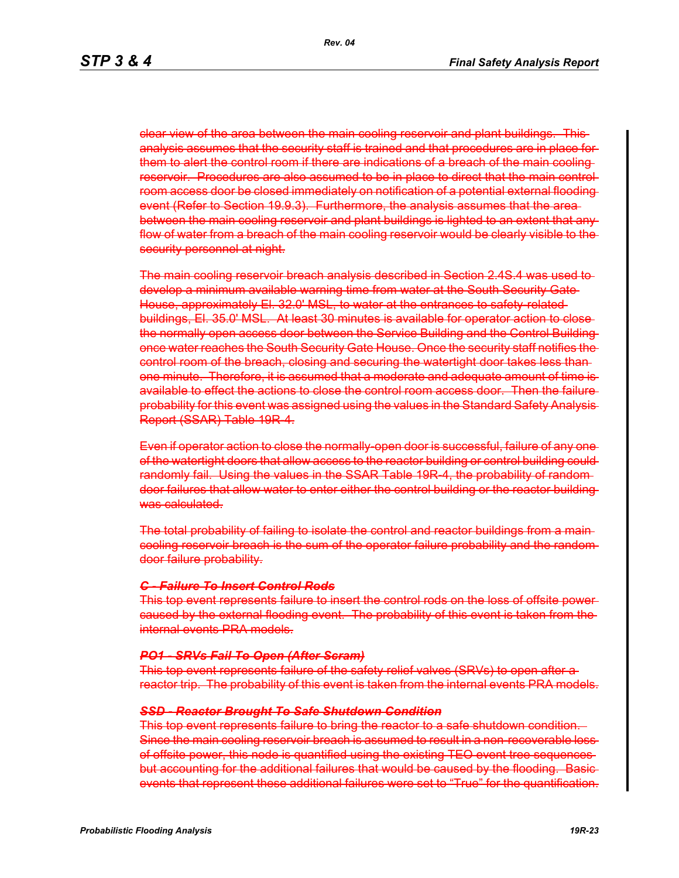clear view of the area between the main cooling reservoir and plant buildings. This analysis assumes that the security staff is trained and that procedures are in place for them to alert the control room if there are indications of a breach of the main cooling reservoir. Procedures are also assumed to be in place to direct that the main control room access door be closed immediately on notification of a potential external flooding event (Refer to Section 19.9.3). Furthermore, the analysis assumes that the area between the main cooling reservoir and plant buildings is lighted to an extent that any flow of water from a breach of the main cooling reservoir would be clearly visible to the security personnel at night.

The main cooling reservoir breach analysis described in Section 2.4S.4 was used to develop a minimum available warning time from water at the South Security Gate House, approximately El. 32.0' MSL, to water at the entrances to safety-related buildings, El. 35.0' MSL. At least 30 minutes is available for operator action to close the normally open access door between the Service Building and the Control Building once water reaches the South Security Gate House. Once the security staff notifies the control room of the breach, closing and securing the watertight door takes less than one minute. Therefore, it is assumed that a moderate and adequate amount of time is available to effect the actions to close the control room access door. Then the failure probability for this event was assigned using the values in the Standard Safety Analysis Report (SSAR) Table 19R-4.

Even if operator action to close the normally-open door is successful, failure of any one of the watertight doors that allow access to the reactor building or control building could randomly fail. Using the values in the SSAR Table 19R 4, the probability of randomdoor failures that allow water to enter either the control building or the reactor building was calculated.

The total probability of failing to isolate the control and reactor buildings from a maincooling reservoir breach is the sum of the operator failure probability and the random door failure probability.

### *C - Failure To Insert Control Rods*

This top event represents failure to insert the control rods on the loss of offsite power caused by the external flooding event. The probability of this event is taken from the internal events PRA models.

#### *PO1 - SRVs Fail To Open (After Scram)*

This top event represents failure of the safety relief valves (SRVs) to open after a reactor trip. The probability of this event is taken from the internal events PRA models.

#### *SSD - Reactor Brought To Safe Shutdown Condition*

This top event represents failure to bring the reactor to a safe shutdown condition. Since the main cooling reservoir breach is assumed to result in a non-recoverable lossof offsite power, this node is quantified using the existing TEO event tree sequences but accounting for the additional failures that would be caused by the flooding. Basic events that represent these additional failures were set to "True" for the quantification.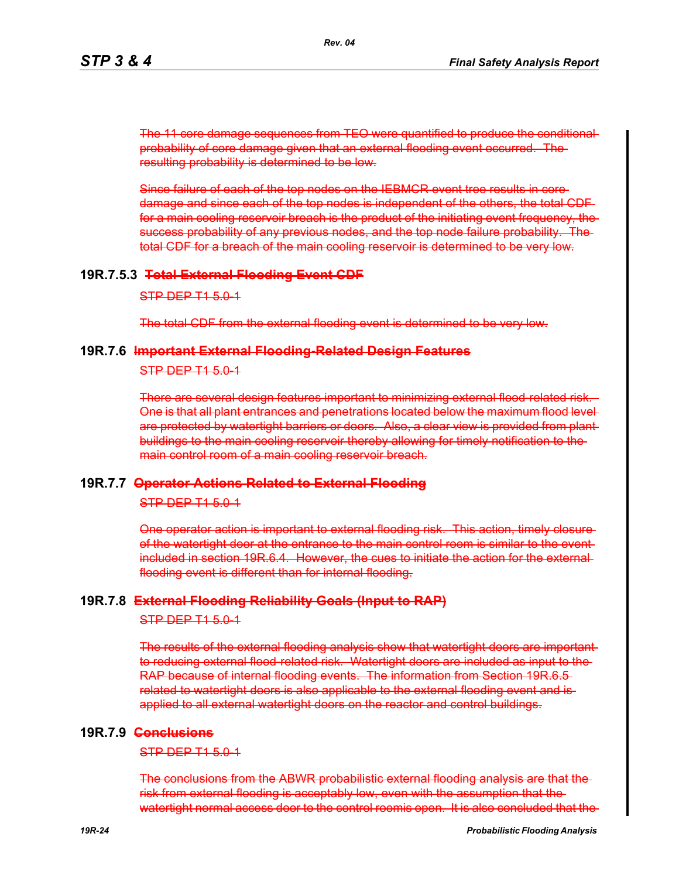The 11 core damage sequences from TEO were quantified to produce the conditional probability of core damage given that an external flooding event occurred. The resulting probability is determined to be low.

Since failure of each of the top nodes on the IEBMCR event tree results in core damage and since each of the top nodes is independent of the others, the total CDF for a main cooling reservoir breach is the product of the initiating event frequency, the success probability of any previous nodes, and the top node failure probability. The total CDF for a breach of the main cooling reservoir is determined to be very low.

### **19R.7.5.3 Total External Flooding Event CDF**

STP DEP T1 5.0-1

The total CDF from the external flooding event is determined to be very low.

### **19R.7.6 Important External Flooding-Related Design Features**

STP DEP T1 5.0-1

There are several design features important to minimizing external flood-related risk. One is that all plant entrances and penetrations located below the maximum flood level are protected by watertight barriers or doors. Also, a clear view is provided from plant buildings to the main cooling reservoir thereby allowing for timely notification to the main control room of a main cooling reservoir breach.

### **19R.7.7 Operator Actions Related to External Flooding**

STP DEP T1 5.0-1

One operator action is important to external flooding risk. This action, timely closure of the watertight door at the entrance to the main control room is similar to the event included in section 19R.6.4. However, the cues to initiate the action for the external flooding event is different than for internal flooding.

### **19R.7.8 External Flooding Reliability Goals (Input to RAP)**

STP DEP T1 5.0-1

The results of the external flooding analysis show that watertight doors are important to reducing external flood-related risk. Watertight doors are included as input to the RAP because of internal flooding events. The information from Section 19R.6.5 related to watertight doors is also applicable to the external flooding event and is applied to all external watertight doors on the reactor and control buildings.

### **19R.7.9 Conclusions**

STP DEP T1 5.0-1

The conclusions from the ABWR probabilistic external flooding analysis are that the risk from external flooding is acceptably low, even with the assumption that the watertight normal access door to the control roomis open. It is also concluded that the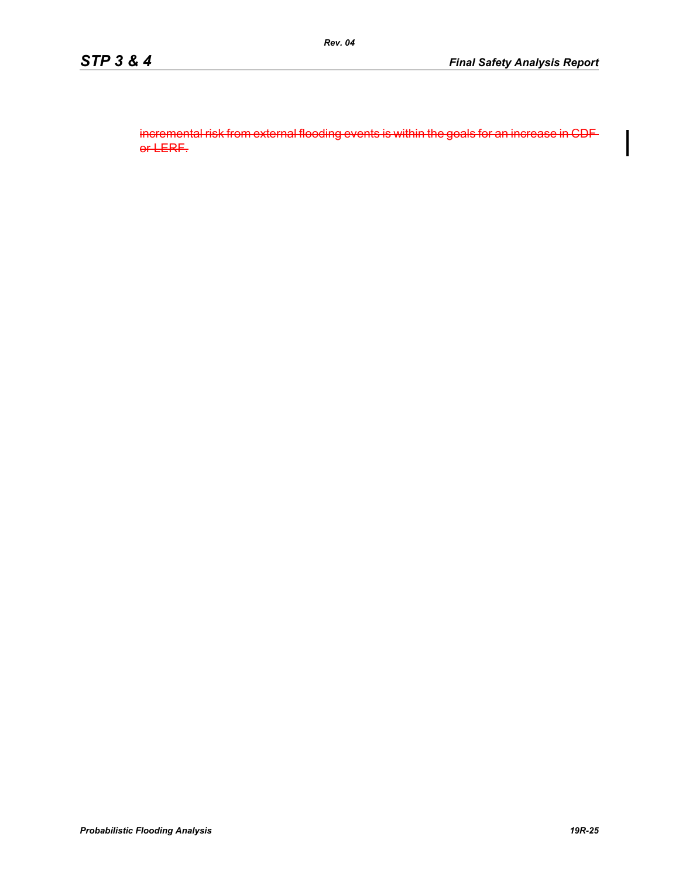incremental risk from external flooding events is within the goals for an increase in CDF or LERF.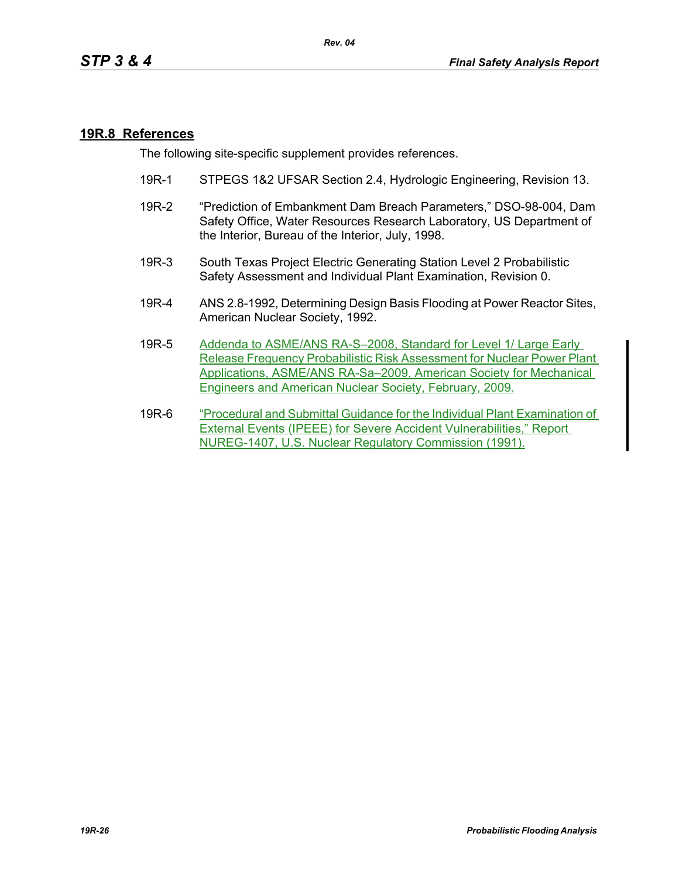### **19R.8 References**

The following site-specific supplement provides references.

- 19R-1 STPEGS 1&2 UFSAR Section 2.4, Hydrologic Engineering, Revision 13.
- 19R-2 "Prediction of Embankment Dam Breach Parameters," DSO-98-004, Dam Safety Office, Water Resources Research Laboratory, US Department of the Interior, Bureau of the Interior, July, 1998.
- 19R-3 South Texas Project Electric Generating Station Level 2 Probabilistic Safety Assessment and Individual Plant Examination, Revision 0.
- 19R-4 ANS 2.8-1992, Determining Design Basis Flooding at Power Reactor Sites, American Nuclear Society, 1992.
- 19R-5 Addenda to ASME/ANS RA-S–2008, Standard for Level 1/ Large Early Release Frequency Probabilistic Risk Assessment for Nuclear Power Plant Applications, ASME/ANS RA-Sa–2009, American Society for Mechanical Engineers and American Nuclear Society, February, 2009.
- 19R-6 "Procedural and Submittal Guidance for the Individual Plant Examination of External Events (IPEEE) for Severe Accident Vulnerabilities," Report NUREG-1407, U.S. Nuclear Regulatory Commission (1991).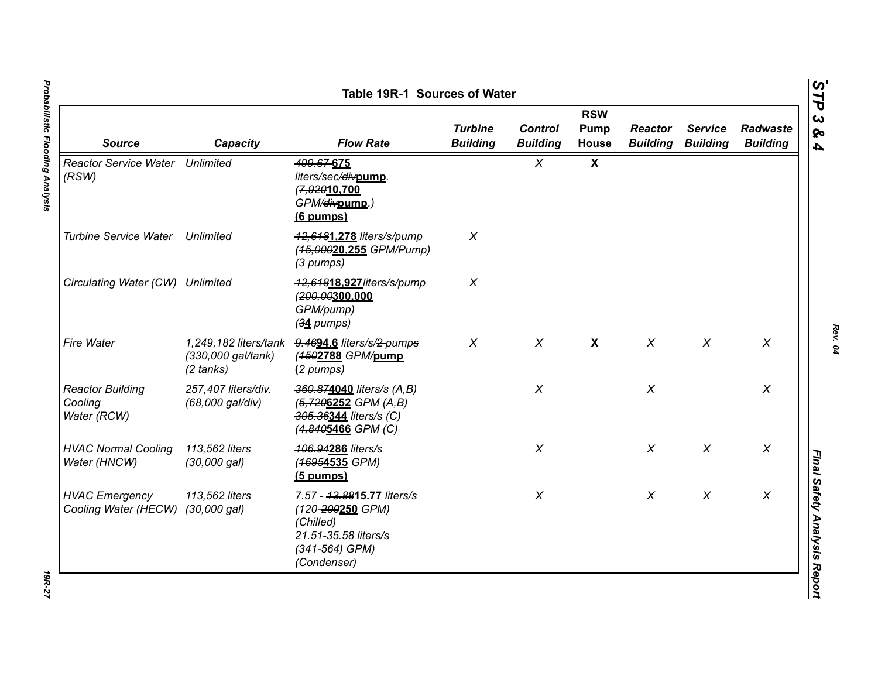| <b>Source</b>                                     | Capacity                                                           | <b>Flow Rate</b>                                                                                                         | <b>Turbine</b><br><b>Building</b> | <b>Control</b><br><b>Building</b> | <b>RSW</b><br><b>Pump</b><br><b>House</b> | <b>Reactor</b><br><b>Building</b> | <b>Service</b><br><b>Building</b> | Radwaste<br><b>Building</b> |
|---------------------------------------------------|--------------------------------------------------------------------|--------------------------------------------------------------------------------------------------------------------------|-----------------------------------|-----------------------------------|-------------------------------------------|-----------------------------------|-----------------------------------|-----------------------------|
| <b>Reactor Service Water Unlimited</b><br>(RSW)   |                                                                    | 499.67-675<br>liters/sec/divpump.<br>(7,92010.700<br>GPM/ <del>div</del> pump.)<br>(6 pumps)                             |                                   | $\chi$                            | $\boldsymbol{\mathsf{X}}$                 |                                   |                                   |                             |
| <b>Turbine Service Water</b>                      | Unlimited                                                          | 42,6481.278 liters/s/pump<br>(45,00020.255 GPM/Pump)<br>(3 pumps)                                                        | X                                 |                                   |                                           |                                   |                                   |                             |
| Circulating Water (CW) Unlimited                  |                                                                    | 42,64818.927/iters/s/pump<br>(200,00300,000<br>GPM/pump)<br>$(34$ pumps)                                                 | $\pmb{\times}$                    |                                   |                                           |                                   |                                   |                             |
| Fire Water                                        | 1,249,182 liters/tank<br>(330,000 gal/tank)<br>$(2 \text{ tanks})$ | 9.4694.6 liters/s/2-pumps<br>(4502788 GPM/pump<br>(2 pumps)                                                              | $\chi$                            | $\chi$                            | $\boldsymbol{X}$                          | $\chi$                            | $\chi$                            | $\chi$                      |
| <b>Reactor Building</b><br>Cooling<br>Water (RCW) | 257,407 liters/div.<br>(68,000 gal/div)                            | 360.874040 liters/s (A,B)<br>(5,7206252 GPM (A,B)<br>305.36344 liters/s (C)<br>(4,8405466 GPM (C)                        |                                   | $\chi$                            |                                           | $\chi$                            |                                   | $\chi$                      |
| <b>HVAC Normal Cooling</b><br>Water (HNCW)        | 113,562 liters<br>(30,000 gal)                                     | 406.94286 liters/s<br>(46954535 GPM)<br>$(5$ pumps)                                                                      |                                   | $\chi$                            |                                           | $\chi$                            | $\chi$                            | $\chi$                      |
| <b>HVAC Emergency</b><br>Cooling Water (HECW)     | 113,562 liters<br>$(30,000 \text{ gal})$                           | 7.57 - 43.8815.77 liters/s<br>(120-200250 GPM)<br>(Chilled)<br>21.51-35.58 liters/s<br>$(341 - 564)$ GPM)<br>(Condenser) |                                   | $\chi$                            |                                           | $\chi$                            | $\chi$                            | $\boldsymbol{X}$            |

Probabilistic Flooding Analysis *Probabilistic Flooding Analysis 19R-27*

*Rev. 04*

**19R-27**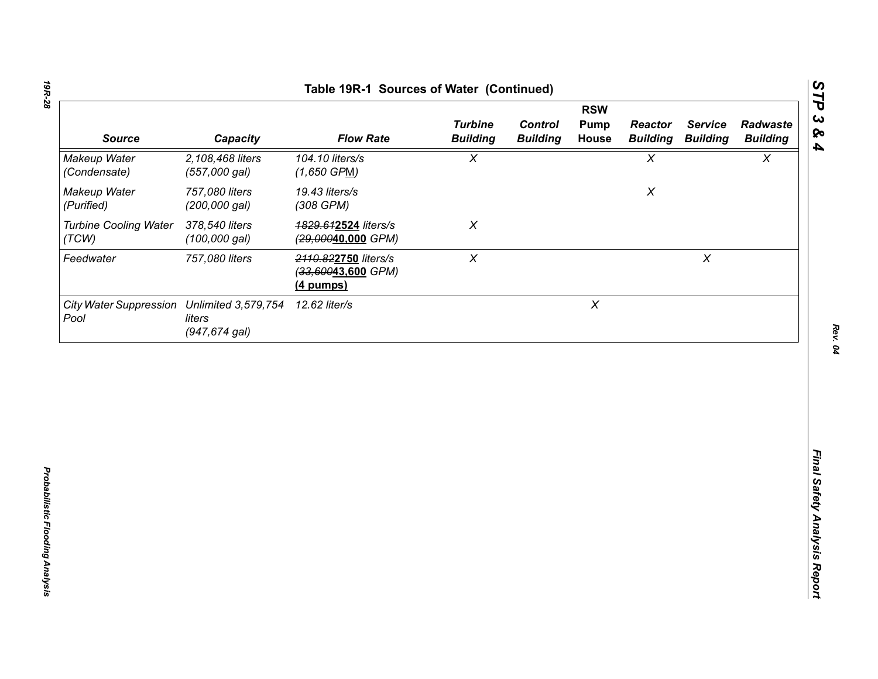| <b>RSW</b>                            |                                                       |                                                           |                                   |                                   |                           |                                   |                                   |                             |
|---------------------------------------|-------------------------------------------------------|-----------------------------------------------------------|-----------------------------------|-----------------------------------|---------------------------|-----------------------------------|-----------------------------------|-----------------------------|
| <b>Source</b>                         | Capacity                                              | <b>Flow Rate</b>                                          | <b>Turbine</b><br><b>Building</b> | <b>Control</b><br><b>Building</b> | Pump<br>House             | <b>Reactor</b><br><b>Building</b> | <b>Service</b><br><b>Building</b> | Radwaste<br><b>Building</b> |
| Makeup Water<br>(Condensate)          | 2,108,468 liters<br>(557,000 gal)                     | 104.10 liters/s<br>$(1,650$ GPM)                          | $\pmb{\chi}$                      |                                   |                           | $\chi$                            |                                   | $\boldsymbol{\mathsf{X}}$   |
| Makeup Water<br>(Purified)            | 757,080 liters<br>(200,000 gal)                       | 19.43 liters/s<br>(308 GPM)                               |                                   |                                   |                           | $\pmb{\mathsf{X}}$                |                                   |                             |
| <b>Turbine Cooling Water</b><br>(TCW) | 378,540 liters<br>$(100,000$ gal)                     | 1829.612524 liters/s<br>(29,00040,000 GPM)                | $\chi$                            |                                   |                           |                                   |                                   |                             |
| Feedwater                             | 757,080 liters                                        | 2110.822750 liters/s<br>(33,60043,600 GPM)<br>$(4$ pumps) | $\boldsymbol{X}$                  |                                   |                           |                                   | $\pmb{\times}$                    |                             |
| <b>City Water Suppression</b><br>Pool | <b>Unlimited 3,579,754</b><br>liters<br>(947,674 gal) | 12.62 liter/s                                             |                                   |                                   | $\boldsymbol{\mathsf{X}}$ |                                   |                                   |                             |
|                                       |                                                       |                                                           |                                   |                                   |                           |                                   |                                   |                             |
|                                       |                                                       |                                                           |                                   |                                   |                           |                                   |                                   |                             |
|                                       |                                                       |                                                           |                                   |                                   |                           |                                   |                                   |                             |
|                                       |                                                       |                                                           |                                   |                                   |                           |                                   |                                   |                             |
|                                       |                                                       |                                                           |                                   |                                   |                           |                                   |                                   |                             |
|                                       |                                                       |                                                           |                                   |                                   |                           |                                   |                                   |                             |
|                                       |                                                       |                                                           |                                   |                                   |                           |                                   |                                   |                             |

*STP 3 & 4*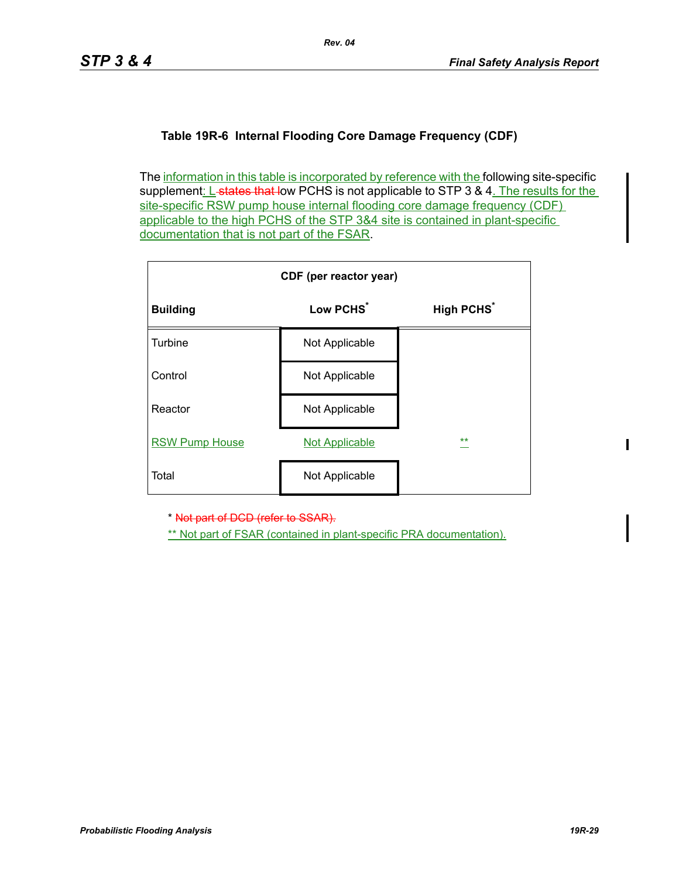## **Table 19R-6 Internal Flooding Core Damage Frequency (CDF)**

The information in this table is incorporated by reference with the following site-specific supplement: L-states that low PCHS is not applicable to STP 3 & 4. The results for the site-specific RSW pump house internal flooding core damage frequency (CDF) applicable to the high PCHS of the STP 3&4 site is contained in plant-specific documentation that is not part of the FSAR.

| CDF (per reactor year) |                       |                              |  |  |  |  |
|------------------------|-----------------------|------------------------------|--|--|--|--|
| <b>Building</b>        | Low PCHS <sup>*</sup> | <b>High PCHS<sup>*</sup></b> |  |  |  |  |
| Turbine                | Not Applicable        |                              |  |  |  |  |
| Control                | Not Applicable        |                              |  |  |  |  |
| Reactor                | Not Applicable        |                              |  |  |  |  |
| <b>RSW Pump House</b>  | <b>Not Applicable</b> | $***$                        |  |  |  |  |
| Total                  | Not Applicable        |                              |  |  |  |  |

\* Not part of DCD (refer to SSAR).

\*\* Not part of FSAR (contained in plant-specific PRA documentation).

 $\mathbf{I}$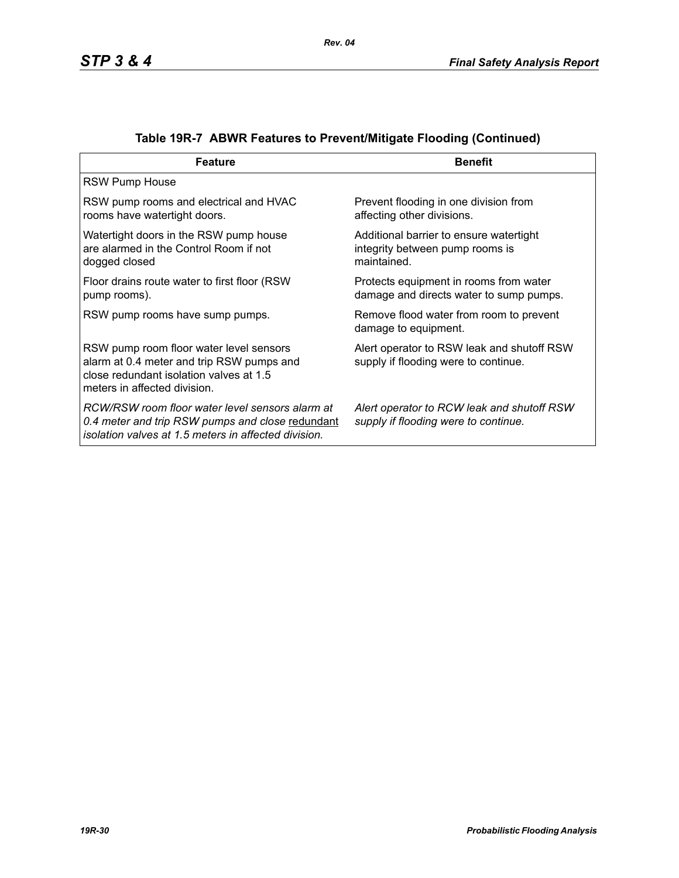| <b>Feature</b>                                                                                                                                                  | <b>Benefit</b>                                                                            |
|-----------------------------------------------------------------------------------------------------------------------------------------------------------------|-------------------------------------------------------------------------------------------|
| <b>RSW Pump House</b>                                                                                                                                           |                                                                                           |
| RSW pump rooms and electrical and HVAC<br>rooms have watertight doors.                                                                                          | Prevent flooding in one division from<br>affecting other divisions.                       |
| Watertight doors in the RSW pump house<br>are alarmed in the Control Room if not<br>dogged closed                                                               | Additional barrier to ensure watertight<br>integrity between pump rooms is<br>maintained. |
| Floor drains route water to first floor (RSW)<br>pump rooms).                                                                                                   | Protects equipment in rooms from water<br>damage and directs water to sump pumps.         |
| RSW pump rooms have sump pumps.                                                                                                                                 | Remove flood water from room to prevent<br>damage to equipment.                           |
| RSW pump room floor water level sensors<br>alarm at 0.4 meter and trip RSW pumps and<br>close redundant isolation valves at 1.5<br>meters in affected division. | Alert operator to RSW leak and shutoff RSW<br>supply if flooding were to continue.        |
| RCW/RSW room floor water level sensors alarm at<br>0.4 meter and trip RSW pumps and close redundant<br>isolation valves at 1.5 meters in affected division.     | Alert operator to RCW leak and shutoff RSW<br>supply if flooding were to continue.        |

# **Table 19R-7 ABWR Features to Prevent/Mitigate Flooding (Continued)**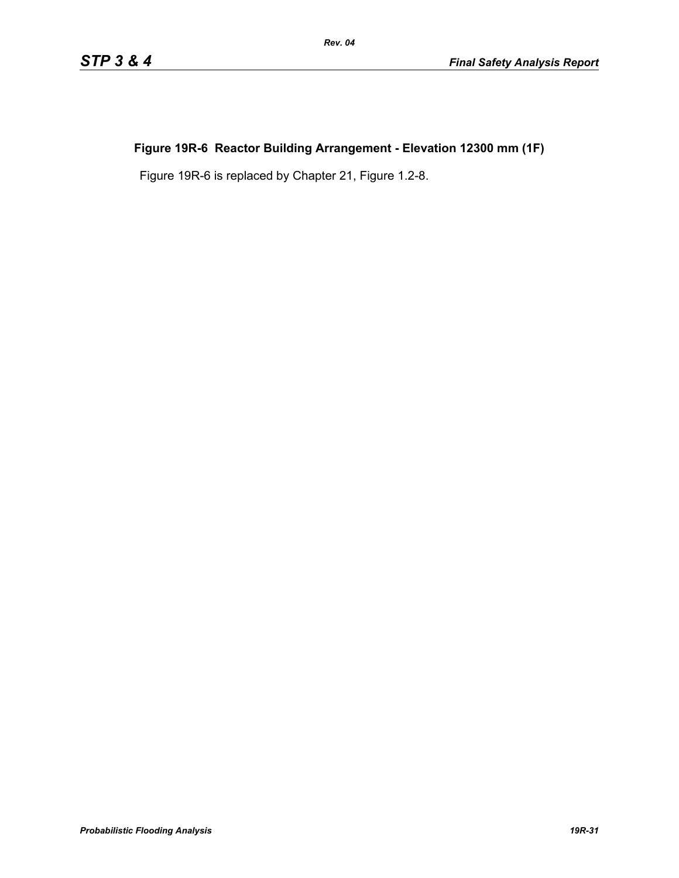# **Figure 19R-6 Reactor Building Arrangement - Elevation 12300 mm (1F)**

*Rev. 04*

Figure 19R-6 is replaced by Chapter 21, Figure 1.2-8.